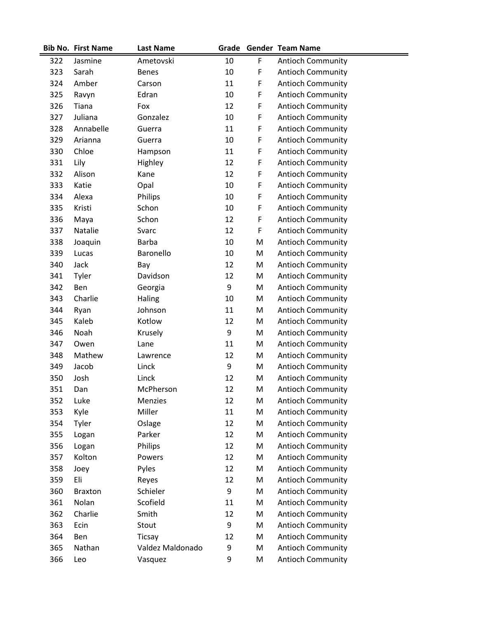|     | <b>Bib No. First Name</b> | <b>Last Name</b> |    |             | Grade Gender Team Name   |
|-----|---------------------------|------------------|----|-------------|--------------------------|
| 322 | Jasmine                   | Ametovski        | 10 | F           | <b>Antioch Community</b> |
| 323 | Sarah                     | <b>Benes</b>     | 10 | F           | <b>Antioch Community</b> |
| 324 | Amber                     | Carson           | 11 | F           | <b>Antioch Community</b> |
| 325 | Ravyn                     | Edran            | 10 | $\mathsf F$ | <b>Antioch Community</b> |
| 326 | Tiana                     | Fox              | 12 | F           | <b>Antioch Community</b> |
| 327 | Juliana                   | Gonzalez         | 10 | $\mathsf F$ | <b>Antioch Community</b> |
| 328 | Annabelle                 | Guerra           | 11 | F           | <b>Antioch Community</b> |
| 329 | Arianna                   | Guerra           | 10 | F           | <b>Antioch Community</b> |
| 330 | Chloe                     | Hampson          | 11 | F           | <b>Antioch Community</b> |
| 331 | Lily                      | Highley          | 12 | F           | <b>Antioch Community</b> |
| 332 | Alison                    | Kane             | 12 | $\mathsf F$ | <b>Antioch Community</b> |
| 333 | Katie                     | Opal             | 10 | $\mathsf F$ | <b>Antioch Community</b> |
| 334 | Alexa                     | Philips          | 10 | $\mathsf F$ | <b>Antioch Community</b> |
| 335 | Kristi                    | Schon            | 10 | F           | <b>Antioch Community</b> |
| 336 | Maya                      | Schon            | 12 | F           | <b>Antioch Community</b> |
| 337 | Natalie                   | Svarc            | 12 | $\mathsf F$ | <b>Antioch Community</b> |
| 338 | Joaquin                   | <b>Barba</b>     | 10 | M           | <b>Antioch Community</b> |
| 339 | Lucas                     | Baronello        | 10 | M           | <b>Antioch Community</b> |
| 340 | Jack                      | Bay              | 12 | M           | <b>Antioch Community</b> |
| 341 | Tyler                     | Davidson         | 12 | M           | <b>Antioch Community</b> |
| 342 | Ben                       | Georgia          | 9  | M           | <b>Antioch Community</b> |
| 343 | Charlie                   | Haling           | 10 | M           | <b>Antioch Community</b> |
| 344 | Ryan                      | Johnson          | 11 | M           | <b>Antioch Community</b> |
| 345 | Kaleb                     | Kotlow           | 12 | M           | <b>Antioch Community</b> |
| 346 | Noah                      | Krusely          | 9  | M           | <b>Antioch Community</b> |
| 347 | Owen                      | Lane             | 11 | M           | <b>Antioch Community</b> |
| 348 | Mathew                    | Lawrence         | 12 | M           | <b>Antioch Community</b> |
| 349 | Jacob                     | Linck            | 9  | M           | <b>Antioch Community</b> |
| 350 | Josh                      | Linck            | 12 | M           | Antioch Community        |
| 351 | Dan                       | McPherson        | 12 | M           | <b>Antioch Community</b> |
| 352 | Luke                      | Menzies          | 12 | M           | <b>Antioch Community</b> |
| 353 | Kyle                      | Miller           | 11 | M           | <b>Antioch Community</b> |
| 354 | Tyler                     | Oslage           | 12 | M           | <b>Antioch Community</b> |
| 355 | Logan                     | Parker           | 12 | M           | <b>Antioch Community</b> |
| 356 | Logan                     | Philips          | 12 | M           | <b>Antioch Community</b> |
| 357 | Kolton                    | Powers           | 12 | M           | Antioch Community        |
| 358 | Joey                      | Pyles            | 12 | M           | <b>Antioch Community</b> |
| 359 | Eli                       | Reyes            | 12 | M           | <b>Antioch Community</b> |
| 360 | <b>Braxton</b>            | Schieler         | 9  | M           | <b>Antioch Community</b> |
| 361 | Nolan                     | Scofield         | 11 | M           | <b>Antioch Community</b> |
| 362 | Charlie                   | Smith            | 12 | M           | <b>Antioch Community</b> |
| 363 | Ecin                      | Stout            | 9  | M           | <b>Antioch Community</b> |
| 364 | Ben                       | <b>Ticsay</b>    | 12 | M           | <b>Antioch Community</b> |
| 365 | Nathan                    | Valdez Maldonado | 9  | M           | <b>Antioch Community</b> |
| 366 | Leo                       | Vasquez          | 9  | M           | Antioch Community        |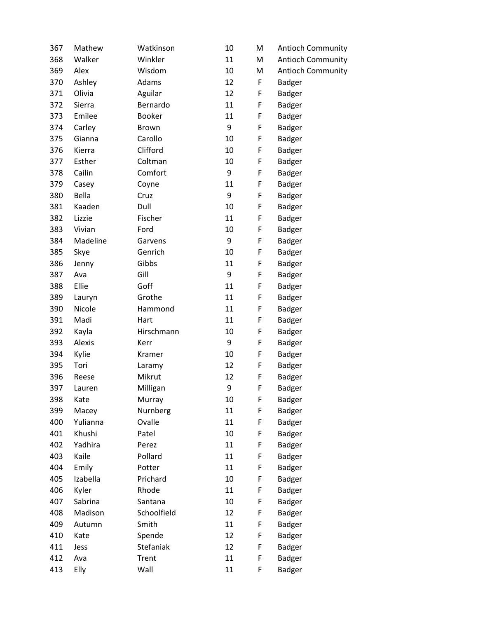| 367 | Mathew   | Watkinson     | 10 | M | <b>Antioch Community</b> |
|-----|----------|---------------|----|---|--------------------------|
| 368 | Walker   | Winkler       | 11 | M | <b>Antioch Community</b> |
| 369 | Alex     | Wisdom        | 10 | M | <b>Antioch Community</b> |
| 370 | Ashley   | Adams         | 12 | F | <b>Badger</b>            |
| 371 | Olivia   | Aguilar       | 12 | F | Badger                   |
| 372 | Sierra   | Bernardo      | 11 | F | <b>Badger</b>            |
| 373 | Emilee   | <b>Booker</b> | 11 | F | <b>Badger</b>            |
| 374 | Carley   | Brown         | 9  | F | <b>Badger</b>            |
| 375 | Gianna   | Carollo       | 10 | F | <b>Badger</b>            |
| 376 | Kierra   | Clifford      | 10 | F | <b>Badger</b>            |
| 377 | Esther   | Coltman       | 10 | F | <b>Badger</b>            |
| 378 | Cailin   | Comfort       | 9  | F | <b>Badger</b>            |
| 379 | Casey    | Coyne         | 11 | F | <b>Badger</b>            |
| 380 | Bella    | Cruz          | 9  | F | <b>Badger</b>            |
| 381 | Kaaden   | Dull          | 10 | F | <b>Badger</b>            |
| 382 | Lizzie   | Fischer       | 11 | F | <b>Badger</b>            |
| 383 | Vivian   | Ford          | 10 | F | <b>Badger</b>            |
| 384 | Madeline | Garvens       | 9  | F | <b>Badger</b>            |
| 385 | Skye     | Genrich       | 10 | F | <b>Badger</b>            |
| 386 | Jenny    | Gibbs         | 11 | F | <b>Badger</b>            |
| 387 | Ava      | Gill          | 9  | F | <b>Badger</b>            |
| 388 | Ellie    | Goff          | 11 | F | <b>Badger</b>            |
| 389 | Lauryn   | Grothe        | 11 | F | <b>Badger</b>            |
| 390 | Nicole   | Hammond       | 11 | F | <b>Badger</b>            |
| 391 | Madi     | Hart          | 11 | F | <b>Badger</b>            |
| 392 | Kayla    | Hirschmann    | 10 | F | <b>Badger</b>            |
| 393 | Alexis   | Kerr          | 9  | F | <b>Badger</b>            |
| 394 | Kylie    | Kramer        | 10 | F | <b>Badger</b>            |
| 395 | Tori     | Laramy        | 12 | F | <b>Badger</b>            |
| 396 | Reese    | Mikrut        | 12 | F | Badger                   |
| 397 | Lauren   | Milligan      | 9  | F | <b>Badger</b>            |
| 398 | Kate     | Murray        | 10 | F | Badger                   |
| 399 | Macey    | Nurnberg      | 11 | F | <b>Badger</b>            |
| 400 | Yulianna | Ovalle        | 11 | F | <b>Badger</b>            |
| 401 | Khushi   | Patel         | 10 | F | <b>Badger</b>            |
| 402 | Yadhira  | Perez         | 11 | F | <b>Badger</b>            |
| 403 | Kaile    | Pollard       | 11 | F | <b>Badger</b>            |
| 404 | Emily    | Potter        | 11 | F | <b>Badger</b>            |
| 405 | Izabella | Prichard      | 10 | F | <b>Badger</b>            |
| 406 | Kyler    | Rhode         | 11 | F | <b>Badger</b>            |
| 407 | Sabrina  | Santana       | 10 | F | <b>Badger</b>            |
| 408 | Madison  | Schoolfield   | 12 | F | <b>Badger</b>            |
| 409 | Autumn   | Smith         | 11 | F | <b>Badger</b>            |
| 410 | Kate     | Spende        | 12 | F | <b>Badger</b>            |
| 411 | Jess     | Stefaniak     | 12 | F | <b>Badger</b>            |
| 412 | Ava      | Trent         | 11 | F | <b>Badger</b>            |
| 413 | Elly     | Wall          | 11 | F | <b>Badger</b>            |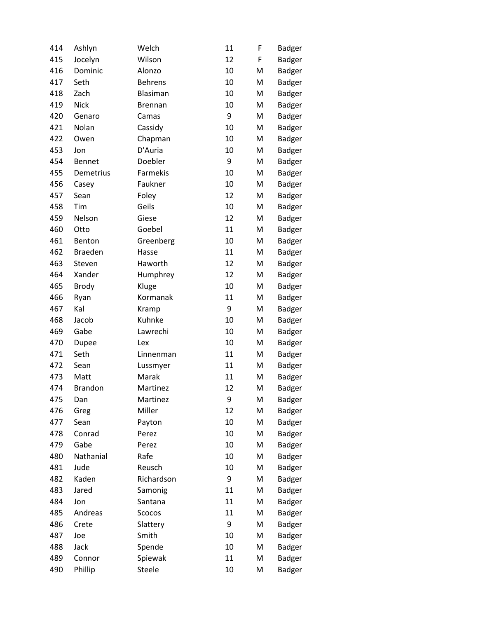| 414 | Ashlyn         | Welch          | 11 | F | <b>Badger</b> |
|-----|----------------|----------------|----|---|---------------|
| 415 | Jocelyn        | Wilson         | 12 | F | <b>Badger</b> |
| 416 | Dominic        | Alonzo         | 10 | M | <b>Badger</b> |
| 417 | Seth           | <b>Behrens</b> | 10 | M | <b>Badger</b> |
| 418 | Zach           | Blasiman       | 10 | M | <b>Badger</b> |
| 419 | <b>Nick</b>    | <b>Brennan</b> | 10 | M | <b>Badger</b> |
| 420 | Genaro         | Camas          | 9  | M | <b>Badger</b> |
| 421 | Nolan          | Cassidy        | 10 | M | <b>Badger</b> |
| 422 | Owen           | Chapman        | 10 | M | Badger        |
| 453 | Jon            | D'Auria        | 10 | M | <b>Badger</b> |
| 454 | <b>Bennet</b>  | Doebler        | 9  | M | Badger        |
| 455 | Demetrius      | Farmekis       | 10 | M | <b>Badger</b> |
| 456 | Casey          | Faukner        | 10 | M | <b>Badger</b> |
| 457 | Sean           | Foley          | 12 | M | <b>Badger</b> |
| 458 | Tim            | Geils          | 10 | M | <b>Badger</b> |
| 459 | Nelson         | Giese          | 12 | M | <b>Badger</b> |
| 460 | Otto           | Goebel         | 11 | M | <b>Badger</b> |
| 461 | Benton         | Greenberg      | 10 | M | <b>Badger</b> |
| 462 | <b>Braeden</b> | Hasse          | 11 | M | <b>Badger</b> |
| 463 | Steven         | Haworth        | 12 | M | <b>Badger</b> |
| 464 | Xander         | Humphrey       | 12 | M | <b>Badger</b> |
| 465 | <b>Brody</b>   | Kluge          | 10 | M | <b>Badger</b> |
| 466 | Ryan           | Kormanak       | 11 | M | <b>Badger</b> |
| 467 | Kal            | Kramp          | 9  | M | <b>Badger</b> |
| 468 | Jacob          | Kuhnke         | 10 | M | <b>Badger</b> |
| 469 | Gabe           | Lawrechi       | 10 | M | <b>Badger</b> |
| 470 | Dupee          | Lex            | 10 | M | <b>Badger</b> |
| 471 | Seth           | Linnenman      | 11 | M | <b>Badger</b> |
| 472 | Sean           | Lussmyer       | 11 | M | <b>Badger</b> |
| 473 | Matt           | Marak          | 11 | M | <b>Badger</b> |
| 474 | <b>Brandon</b> | Martinez       | 12 | M | Badger        |
| 475 | Dan            | Martinez       | 9  | M | <b>Badger</b> |
| 476 | Greg           | Miller         | 12 | M | Badger        |
| 477 | Sean           | Payton         | 10 | M | <b>Badger</b> |
| 478 | Conrad         | Perez          | 10 | M | <b>Badger</b> |
| 479 | Gabe           | Perez          | 10 | M | <b>Badger</b> |
| 480 | Nathanial      | Rafe           | 10 | M | Badger        |
| 481 | Jude           | Reusch         | 10 | M | <b>Badger</b> |
| 482 | Kaden          | Richardson     | 9  | M | <b>Badger</b> |
| 483 | Jared          | Samonig        | 11 | M | <b>Badger</b> |
| 484 | Jon            | Santana        | 11 | M | <b>Badger</b> |
| 485 | Andreas        | Scocos         | 11 | M | <b>Badger</b> |
| 486 | Crete          | Slattery       | 9  | M | <b>Badger</b> |
| 487 | Joe            | Smith          | 10 | M | <b>Badger</b> |
| 488 | Jack           | Spende         | 10 | M | <b>Badger</b> |
| 489 | Connor         | Spiewak        | 11 | M | <b>Badger</b> |
| 490 | Phillip        | Steele         | 10 | M | <b>Badger</b> |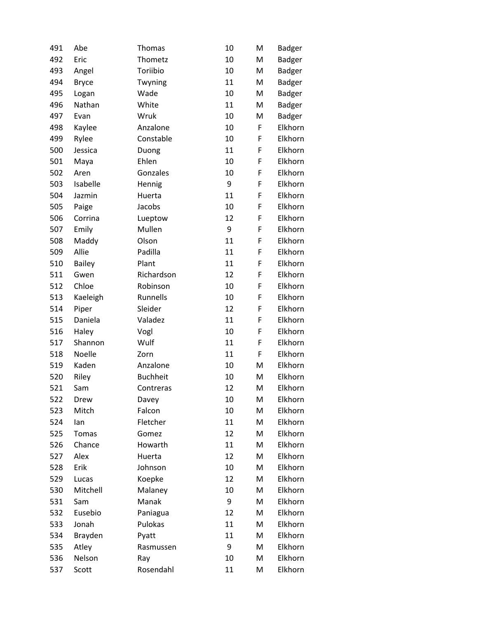| 491 | Abe           | Thomas          | 10 | M | Badger        |
|-----|---------------|-----------------|----|---|---------------|
| 492 | Eric          | Thometz         | 10 | M | <b>Badger</b> |
| 493 | Angel         | Toriibio        | 10 | M | <b>Badger</b> |
| 494 | <b>Bryce</b>  | Twyning         | 11 | M | <b>Badger</b> |
| 495 | Logan         | Wade            | 10 | M | <b>Badger</b> |
| 496 | Nathan        | White           | 11 | M | <b>Badger</b> |
| 497 | Evan          | Wruk            | 10 | M | <b>Badger</b> |
| 498 | Kaylee        | Anzalone        | 10 | F | Elkhorn       |
| 499 | Rylee         | Constable       | 10 | F | Elkhorn       |
| 500 | Jessica       | Duong           | 11 | F | Elkhorn       |
| 501 | Maya          | Ehlen           | 10 | F | Elkhorn       |
| 502 | Aren          | Gonzales        | 10 | F | Elkhorn       |
| 503 | Isabelle      | Hennig          | 9  | F | Elkhorn       |
| 504 | Jazmin        | Huerta          | 11 | F | Elkhorn       |
| 505 | Paige         | Jacobs          | 10 | F | Elkhorn       |
| 506 | Corrina       | Lueptow         | 12 | F | Elkhorn       |
| 507 | Emily         | Mullen          | 9  | F | Elkhorn       |
| 508 | Maddy         | Olson           | 11 | F | Elkhorn       |
| 509 | Allie         | Padilla         | 11 | F | Elkhorn       |
| 510 | <b>Bailey</b> | Plant           | 11 | F | Elkhorn       |
| 511 | Gwen          | Richardson      | 12 | F | Elkhorn       |
| 512 | Chloe         | Robinson        | 10 | F | Elkhorn       |
| 513 | Kaeleigh      | Runnells        | 10 | F | Elkhorn       |
| 514 | Piper         | Sleider         | 12 | F | Elkhorn       |
| 515 | Daniela       | Valadez         | 11 | F | Elkhorn       |
| 516 | Haley         | Vogl            | 10 | F | Elkhorn       |
| 517 | Shannon       | Wulf            | 11 | F | Elkhorn       |
| 518 | Noelle        | Zorn            | 11 | F | Elkhorn       |
| 519 | Kaden         | Anzalone        | 10 | M | Elkhorn       |
| 520 | Riley         | <b>Buchheit</b> | 10 | M | Elkhorn       |
| 521 | Sam           | Contreras       | 12 | M | Elkhorn       |
| 522 | Drew          | Davey           | 10 | M | Elkhorn       |
| 523 | Mitch         | Falcon          | 10 | M | Elkhorn       |
| 524 | lan           | Fletcher        | 11 | M | Elkhorn       |
| 525 | Tomas         | Gomez           | 12 | M | Elkhorn       |
| 526 | Chance        | Howarth         | 11 | M | Elkhorn       |
| 527 | Alex          | Huerta          | 12 | M | Elkhorn       |
| 528 | Erik          | Johnson         | 10 | M | Elkhorn       |
| 529 | Lucas         | Koepke          | 12 | M | Elkhorn       |
| 530 | Mitchell      | Malaney         | 10 | M | Elkhorn       |
| 531 | Sam           | Manak           | 9  | M | Elkhorn       |
| 532 | Eusebio       | Paniagua        | 12 | M | Elkhorn       |
| 533 | Jonah         | Pulokas         | 11 | M | Elkhorn       |
| 534 | Brayden       | Pyatt           | 11 | M | Elkhorn       |
| 535 | Atley         | Rasmussen       | 9  | M | Elkhorn       |
| 536 | Nelson        | Ray             | 10 | M | Elkhorn       |
| 537 | Scott         | Rosendahl       | 11 | M | Elkhorn       |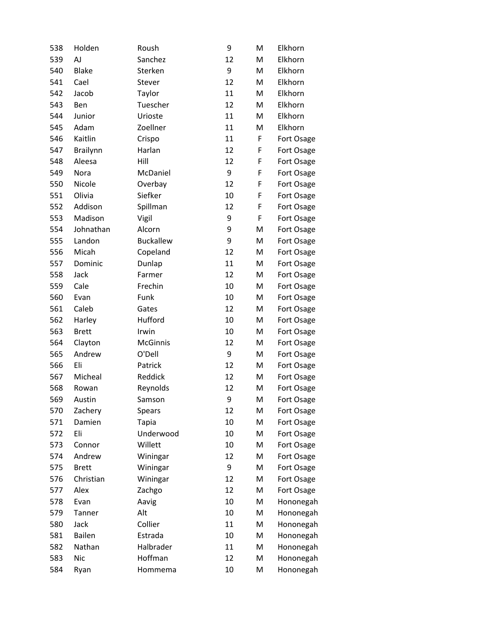| 538 | Holden          | Roush            | 9  | M | Elkhorn    |
|-----|-----------------|------------------|----|---|------------|
| 539 | <b>AJ</b>       | Sanchez          | 12 | M | Elkhorn    |
| 540 | <b>Blake</b>    | Sterken          | 9  | M | Elkhorn    |
| 541 | Cael            | Stever           | 12 | M | Elkhorn    |
| 542 | Jacob           | Taylor           | 11 | M | Elkhorn    |
| 543 | Ben             | Tuescher         | 12 | M | Elkhorn    |
| 544 | Junior          | Urioste          | 11 | M | Elkhorn    |
| 545 | Adam            | Zoellner         | 11 | M | Elkhorn    |
| 546 | Kaitlin         | Crispo           | 11 | F | Fort Osage |
| 547 | <b>Brailynn</b> | Harlan           | 12 | F | Fort Osage |
| 548 | Aleesa          | Hill             | 12 | F | Fort Osage |
| 549 | Nora            | McDaniel         | 9  | F | Fort Osage |
| 550 | Nicole          | Overbay          | 12 | F | Fort Osage |
| 551 | Olivia          | Siefker          | 10 | F | Fort Osage |
| 552 | Addison         | Spillman         | 12 | F | Fort Osage |
| 553 | Madison         | Vigil            | 9  | F | Fort Osage |
| 554 | Johnathan       | Alcorn           | 9  | M | Fort Osage |
| 555 | Landon          | <b>Buckallew</b> | 9  | M | Fort Osage |
| 556 | Micah           | Copeland         | 12 | M | Fort Osage |
| 557 | Dominic         | Dunlap           | 11 | M | Fort Osage |
| 558 | Jack            | Farmer           | 12 | M | Fort Osage |
| 559 | Cale            | Frechin          | 10 | M | Fort Osage |
| 560 | Evan            | Funk             | 10 | M | Fort Osage |
| 561 | Caleb           | Gates            | 12 | M | Fort Osage |
| 562 | Harley          | Hufford          | 10 | M | Fort Osage |
| 563 | <b>Brett</b>    | Irwin            | 10 | M | Fort Osage |
| 564 | Clayton         | McGinnis         | 12 | M | Fort Osage |
| 565 | Andrew          | O'Dell           | 9  | M | Fort Osage |
| 566 | Eli             | Patrick          | 12 | M | Fort Osage |
| 567 | Micheal         | Reddick          | 12 | M | Fort Osage |
| 568 | Rowan           | Reynolds         | 12 | M | Fort Osage |
| 569 | Austin          | Samson           | 9  | M | Fort Osage |
| 570 | Zachery         | Spears           | 12 | M | Fort Osage |
| 571 | Damien          | <b>Tapia</b>     | 10 | M | Fort Osage |
| 572 | Eli             | Underwood        | 10 | M | Fort Osage |
| 573 | Connor          | Willett          | 10 | M | Fort Osage |
| 574 | Andrew          | Winingar         | 12 | M | Fort Osage |
| 575 | <b>Brett</b>    | Winingar         | 9  | M | Fort Osage |
| 576 | Christian       | Winingar         | 12 | M | Fort Osage |
| 577 | Alex            | Zachgo           | 12 | M | Fort Osage |
| 578 | Evan            | Aavig            | 10 | M | Hononegah  |
| 579 | Tanner          | Alt              | 10 | M | Hononegah  |
| 580 | Jack            | Collier          | 11 | M | Hononegah  |
| 581 | <b>Bailen</b>   | Estrada          | 10 | M | Hononegah  |
| 582 | Nathan          | Halbrader        | 11 | M | Hononegah  |
| 583 | <b>Nic</b>      | Hoffman          | 12 | M | Hononegah  |
| 584 | Ryan            | Hommema          | 10 | M | Hononegah  |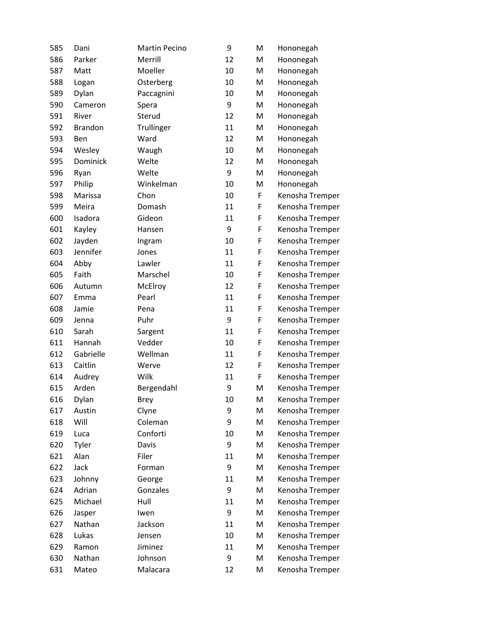| 585 | Dani           | <b>Martin Pecino</b> | 9  | M | Hononegah       |
|-----|----------------|----------------------|----|---|-----------------|
| 586 | Parker         | Merrill              | 12 | M | Hononegah       |
| 587 | Matt           | Moeller              | 10 | M | Hononegah       |
| 588 | Logan          | Osterberg            | 10 | M | Hononegah       |
| 589 | Dylan          | Paccagnini           | 10 | M | Hononegah       |
| 590 | Cameron        | Spera                | 9  | M | Hononegah       |
| 591 | River          | Sterud               | 12 | M | Hononegah       |
| 592 | <b>Brandon</b> | Trullinger           | 11 | M | Hononegah       |
| 593 | Ben            | Ward                 | 12 | M | Hononegah       |
| 594 | Wesley         | Waugh                | 10 | M | Hononegah       |
| 595 | Dominick       | Welte                | 12 | M | Hononegah       |
| 596 | Ryan           | Welte                | 9  | M | Hononegah       |
| 597 | Philip         | Winkelman            | 10 | M | Hononegah       |
| 598 | Marissa        | Chon                 | 10 | F | Kenosha Tremper |
| 599 | Meira          | Domash               | 11 | F | Kenosha Tremper |
| 600 | Isadora        | Gideon               | 11 | F | Kenosha Tremper |
| 601 | Kayley         | Hansen               | 9  | F | Kenosha Tremper |
| 602 | Jayden         | Ingram               | 10 | F | Kenosha Tremper |
| 603 | Jennifer       | Jones                | 11 | F | Kenosha Tremper |
| 604 | Abby           | Lawler               | 11 | F | Kenosha Tremper |
| 605 | Faith          | Marschel             | 10 | F | Kenosha Tremper |
| 606 | Autumn         | McElroy              | 12 | F | Kenosha Tremper |
| 607 | Emma           | Pearl                | 11 | F | Kenosha Tremper |
| 608 | Jamie          | Pena                 | 11 | F | Kenosha Tremper |
| 609 | Jenna          | Puhr                 | 9  | F | Kenosha Tremper |
| 610 | Sarah          | Sargent              | 11 | F | Kenosha Tremper |
| 611 | Hannah         | Vedder               | 10 | F | Kenosha Tremper |
| 612 | Gabrielle      | Wellman              | 11 | F | Kenosha Tremper |
| 613 | Caitlin        | Werve                | 12 | F | Kenosha Tremper |
| 614 | Audrey         | Wilk                 | 11 | F | Kenosha Tremper |
| 615 | Arden          | Bergendahl           | 9  | M | Kenosha Tremper |
| 616 | Dylan          | <b>Brey</b>          | 10 | M | Kenosha Tremper |
| 617 | Austin         | Clyne                | 9  | M | Kenosha Tremper |
| 618 | Will           | Coleman              | 9  | M | Kenosha Tremper |
| 619 | Luca           | Conforti             | 10 | M | Kenosha Tremper |
| 620 | Tyler          | Davis                | 9  | M | Kenosha Tremper |
| 621 | Alan           | Filer                | 11 | M | Kenosha Tremper |
| 622 | Jack           | Forman               | 9  | M | Kenosha Tremper |
| 623 | Johnny         | George               | 11 | M | Kenosha Tremper |
| 624 | Adrian         | Gonzales             | 9  | M | Kenosha Tremper |
| 625 | Michael        | Hull                 | 11 | M | Kenosha Tremper |
| 626 | Jasper         | Iwen                 | 9  | M | Kenosha Tremper |
| 627 | Nathan         | Jackson              | 11 | M | Kenosha Tremper |
| 628 | Lukas          | Jensen               | 10 | M | Kenosha Tremper |
| 629 | Ramon          | Jiminez              | 11 | M | Kenosha Tremper |
| 630 | Nathan         | Johnson              | 9  | M | Kenosha Tremper |
| 631 | Mateo          | Malacara             | 12 | M | Kenosha Tremper |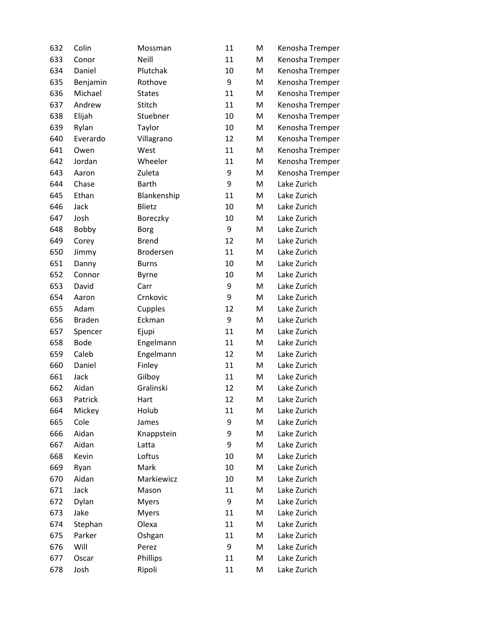| 632 | Colin         | Mossman       | 11 | M | Kenosha Tremper |
|-----|---------------|---------------|----|---|-----------------|
| 633 | Conor         | Neill         | 11 | M | Kenosha Tremper |
| 634 | Daniel        | Plutchak      | 10 | M | Kenosha Tremper |
| 635 | Benjamin      | Rothove       | 9  | M | Kenosha Tremper |
| 636 | Michael       | <b>States</b> | 11 | M | Kenosha Tremper |
| 637 | Andrew        | Stitch        | 11 | M | Kenosha Tremper |
| 638 | Elijah        | Stuebner      | 10 | M | Kenosha Tremper |
| 639 | Rylan         | Taylor        | 10 | M | Kenosha Tremper |
| 640 | Everardo      | Villagrano    | 12 | M | Kenosha Tremper |
| 641 | Owen          | West          | 11 | M | Kenosha Tremper |
| 642 | Jordan        | Wheeler       | 11 | M | Kenosha Tremper |
| 643 | Aaron         | Zuleta        | 9  | M | Kenosha Tremper |
| 644 | Chase         | <b>Barth</b>  | 9  | M | Lake Zurich     |
| 645 | Ethan         | Blankenship   | 11 | M | Lake Zurich     |
| 646 | Jack          | Blietz        | 10 | M | Lake Zurich     |
| 647 | Josh          | Boreczky      | 10 | M | Lake Zurich     |
| 648 | Bobby         | <b>Borg</b>   | 9  | M | Lake Zurich     |
| 649 | Corey         | <b>Brend</b>  | 12 | M | Lake Zurich     |
| 650 | Jimmy         | Brodersen     | 11 | M | Lake Zurich     |
| 651 | Danny         | <b>Burns</b>  | 10 | M | Lake Zurich     |
| 652 | Connor        | <b>Byrne</b>  | 10 | M | Lake Zurich     |
| 653 | David         | Carr          | 9  | M | Lake Zurich     |
| 654 | Aaron         | Crnkovic      | 9  | M | Lake Zurich     |
| 655 | Adam          | Cupples       | 12 | M | Lake Zurich     |
| 656 | <b>Braden</b> | Eckman        | 9  | M | Lake Zurich     |
| 657 | Spencer       | Ejupi         | 11 | M | Lake Zurich     |
| 658 | <b>Bode</b>   | Engelmann     | 11 | M | Lake Zurich     |
| 659 | Caleb         | Engelmann     | 12 | M | Lake Zurich     |
| 660 | Daniel        | Finley        | 11 | M | Lake Zurich     |
| 661 | Jack          | Gilboy        | 11 | M | Lake Zurich     |
| 662 | Aidan         | Gralinski     | 12 | M | Lake Zurich     |
| 663 | Patrick       | Hart          | 12 | M | Lake Zurich     |
| 664 | Mickey        | Holub         | 11 | M | Lake Zurich     |
| 665 | Cole          | James         | 9  | M | Lake Zurich     |
| 666 | Aidan         | Knappstein    | 9  | M | Lake Zurich     |
| 667 | Aidan         | Latta         | 9  | M | Lake Zurich     |
| 668 | Kevin         | Loftus        | 10 | M | Lake Zurich     |
| 669 | Ryan          | Mark          | 10 | M | Lake Zurich     |
| 670 | Aidan         | Markiewicz    | 10 | M | Lake Zurich     |
| 671 | Jack          | Mason         | 11 | M | Lake Zurich     |
| 672 | Dylan         | Myers         | 9  | M | Lake Zurich     |
| 673 | Jake          | <b>Myers</b>  | 11 | M | Lake Zurich     |
| 674 | Stephan       | Olexa         | 11 | M | Lake Zurich     |
| 675 | Parker        | Oshgan        | 11 | M | Lake Zurich     |
| 676 | Will          | Perez         | 9  | M | Lake Zurich     |
| 677 | Oscar         | Phillips      | 11 | M | Lake Zurich     |
| 678 | Josh          | Ripoli        | 11 | M | Lake Zurich     |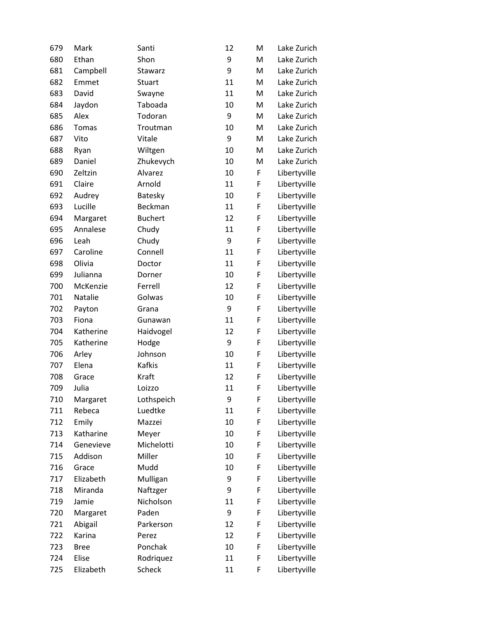| 679 | Mark        | Santi          | 12 | M | Lake Zurich  |
|-----|-------------|----------------|----|---|--------------|
| 680 | Ethan       | Shon           | 9  | M | Lake Zurich  |
| 681 | Campbell    | Stawarz        | 9  | M | Lake Zurich  |
| 682 | Emmet       | Stuart         | 11 | M | Lake Zurich  |
| 683 | David       | Swayne         | 11 | M | Lake Zurich  |
| 684 | Jaydon      | Taboada        | 10 | M | Lake Zurich  |
| 685 | Alex        | Todoran        | 9  | M | Lake Zurich  |
| 686 | Tomas       | Troutman       | 10 | M | Lake Zurich  |
| 687 | Vito        | Vitale         | 9  | M | Lake Zurich  |
| 688 | Ryan        | Wiltgen        | 10 | M | Lake Zurich  |
| 689 | Daniel      | Zhukevych      | 10 | M | Lake Zurich  |
| 690 | Zeltzin     | Alvarez        | 10 | F | Libertyville |
| 691 | Claire      | Arnold         | 11 | F | Libertyville |
| 692 | Audrey      | Batesky        | 10 | F | Libertyville |
| 693 | Lucille     | Beckman        | 11 | F | Libertyville |
| 694 | Margaret    | <b>Buchert</b> | 12 | F | Libertyville |
| 695 | Annalese    | Chudy          | 11 | F | Libertyville |
| 696 | Leah        | Chudy          | 9  | F | Libertyville |
| 697 | Caroline    | Connell        | 11 | F | Libertyville |
| 698 | Olivia      | Doctor         | 11 | F | Libertyville |
| 699 | Julianna    | Dorner         | 10 | F | Libertyville |
| 700 | McKenzie    | Ferrell        | 12 | F | Libertyville |
| 701 | Natalie     | Golwas         | 10 | F | Libertyville |
| 702 | Payton      | Grana          | 9  | F | Libertyville |
| 703 | Fiona       | Gunawan        | 11 | F | Libertyville |
| 704 | Katherine   | Haidvogel      | 12 | F | Libertyville |
| 705 | Katherine   | Hodge          | 9  | F | Libertyville |
| 706 | Arley       | Johnson        | 10 | F | Libertyville |
| 707 | Elena       | Kafkis         | 11 | F | Libertyville |
| 708 | Grace       | Kraft          | 12 | F | Libertyville |
| 709 | Julia       | Loizzo         | 11 | F | Libertyville |
| 710 | Margaret    | Lothspeich     | 9  | F | Libertyville |
| 711 | Rebeca      | Luedtke        | 11 | F | Libertyville |
| 712 | Emily       | Mazzei         | 10 | F | Libertyville |
| 713 | Katharine   | Meyer          | 10 | F | Libertyville |
| 714 | Genevieve   | Michelotti     | 10 | F | Libertyville |
| 715 | Addison     | Miller         | 10 | F | Libertyville |
| 716 | Grace       | Mudd           | 10 | F | Libertyville |
| 717 | Elizabeth   | Mulligan       | 9  | F | Libertyville |
| 718 | Miranda     | Naftzger       | 9  | F | Libertyville |
| 719 | Jamie       | Nicholson      | 11 | F | Libertyville |
| 720 | Margaret    | Paden          | 9  | F | Libertyville |
| 721 | Abigail     | Parkerson      | 12 | F | Libertyville |
| 722 | Karina      | Perez          | 12 | F | Libertyville |
| 723 | <b>Bree</b> | Ponchak        | 10 | F | Libertyville |
| 724 | Elise       | Rodriquez      | 11 | F | Libertyville |
| 725 | Elizabeth   | Scheck         | 11 | F | Libertyville |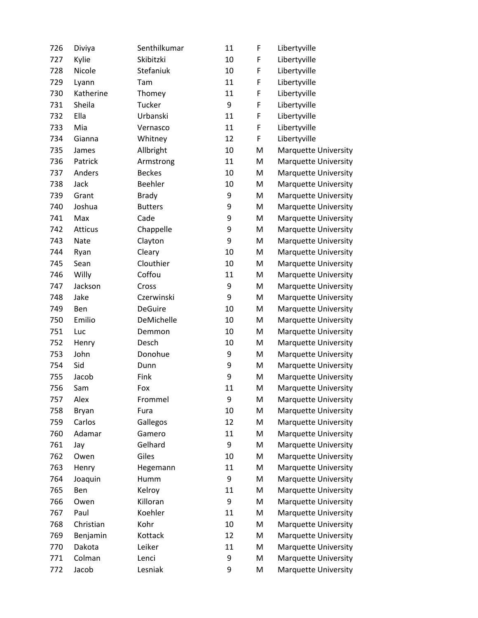| 726 | Diviya    | Senthilkumar   | 11 | F | Libertyville                |
|-----|-----------|----------------|----|---|-----------------------------|
| 727 | Kylie     | Skibitzki      | 10 | F | Libertyville                |
| 728 | Nicole    | Stefaniuk      | 10 | F | Libertyville                |
| 729 | Lyann     | Tam            | 11 | F | Libertyville                |
| 730 | Katherine | Thomey         | 11 | F | Libertyville                |
| 731 | Sheila    | Tucker         | 9  | F | Libertyville                |
| 732 | Ella      | Urbanski       | 11 | F | Libertyville                |
| 733 | Mia       | Vernasco       | 11 | F | Libertyville                |
| 734 | Gianna    | Whitney        | 12 | F | Libertyville                |
| 735 | James     | Allbright      | 10 | M | Marquette University        |
| 736 | Patrick   | Armstrong      | 11 | M | Marquette University        |
| 737 | Anders    | <b>Beckes</b>  | 10 | M | Marquette University        |
| 738 | Jack      | Beehler        | 10 | M | <b>Marquette University</b> |
| 739 | Grant     | <b>Brady</b>   | 9  | M | <b>Marquette University</b> |
| 740 | Joshua    | <b>Butters</b> | 9  | M | Marquette University        |
| 741 | Max       | Cade           | 9  | M | <b>Marquette University</b> |
| 742 | Atticus   | Chappelle      | 9  | M | <b>Marquette University</b> |
| 743 | Nate      | Clayton        | 9  | M | <b>Marquette University</b> |
| 744 | Ryan      | Cleary         | 10 | M | Marquette University        |
| 745 | Sean      | Clouthier      | 10 | M | <b>Marquette University</b> |
| 746 | Willy     | Coffou         | 11 | M | <b>Marquette University</b> |
| 747 | Jackson   | Cross          | 9  | M | <b>Marquette University</b> |
| 748 | Jake      | Czerwinski     | 9  | M | Marquette University        |
| 749 | Ben       | <b>DeGuire</b> | 10 | M | <b>Marquette University</b> |
| 750 | Emilio    | DeMichelle     | 10 | M | Marquette University        |
| 751 | Luc       | Demmon         | 10 | M | <b>Marquette University</b> |
| 752 | Henry     | Desch          | 10 | M | Marquette University        |
| 753 | John      | Donohue        | 9  | M | <b>Marquette University</b> |
| 754 | Sid       | Dunn           | 9  | M | Marquette University        |
| 755 | Jacob     | Fink           | 9  | M | Marquette University        |
| 756 | Sam       | Fox            | 11 | M | Marquette University        |
| 757 | Alex      | Frommel        | 9  | M | <b>Marquette University</b> |
| 758 | Bryan     | Fura           | 10 | M | <b>Marquette University</b> |
| 759 | Carlos    | Gallegos       | 12 | M | <b>Marquette University</b> |
| 760 | Adamar    | Gamero         | 11 | M | <b>Marquette University</b> |
| 761 | Jay       | Gelhard        | 9  | M | <b>Marquette University</b> |
| 762 | Owen      | Giles          | 10 | M | Marquette University        |
| 763 | Henry     | Hegemann       | 11 | M | Marquette University        |
| 764 | Joaquin   | Humm           | 9  | M | <b>Marquette University</b> |
| 765 | Ben       | Kelroy         | 11 | M | <b>Marquette University</b> |
| 766 | Owen      | Killoran       | 9  | M | <b>Marquette University</b> |
| 767 | Paul      | Koehler        | 11 | M | <b>Marquette University</b> |
| 768 | Christian | Kohr           | 10 | M | <b>Marquette University</b> |
| 769 | Benjamin  | Kottack        | 12 | M | <b>Marquette University</b> |
| 770 | Dakota    | Leiker         | 11 | M | Marquette University        |
| 771 | Colman    | Lenci          | 9  | M | <b>Marquette University</b> |
| 772 | Jacob     | Lesniak        | 9  | M | Marquette University        |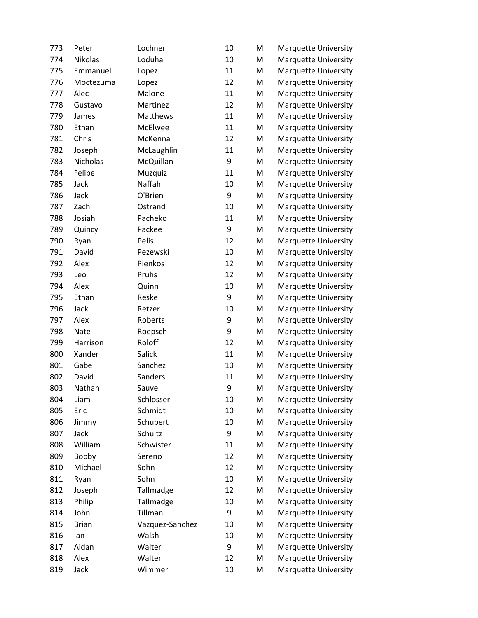| 773 | Peter        | Lochner         | 10 | M | Marquette University        |
|-----|--------------|-----------------|----|---|-----------------------------|
| 774 | Nikolas      | Loduha          | 10 | M | Marquette University        |
| 775 | Emmanuel     | Lopez           | 11 | M | Marquette University        |
| 776 | Moctezuma    | Lopez           | 12 | M | Marquette University        |
| 777 | Alec         | Malone          | 11 | M | Marquette University        |
| 778 | Gustavo      | Martinez        | 12 | M | Marquette University        |
| 779 | James        | Matthews        | 11 | M | Marquette University        |
| 780 | Ethan        | McElwee         | 11 | M | Marquette University        |
| 781 | Chris        | McKenna         | 12 | M | <b>Marquette University</b> |
| 782 | Joseph       | McLaughlin      | 11 | M | Marquette University        |
| 783 | Nicholas     | McQuillan       | 9  | M | Marquette University        |
| 784 | Felipe       | Muzquiz         | 11 | M | <b>Marquette University</b> |
| 785 | Jack         | Naffah          | 10 | M | Marquette University        |
| 786 | Jack         | O'Brien         | 9  | M | Marquette University        |
| 787 | Zach         | Ostrand         | 10 | M | Marquette University        |
| 788 | Josiah       | Pacheko         | 11 | M | Marquette University        |
| 789 | Quincy       | Packee          | 9  | M | Marquette University        |
| 790 | Ryan         | Pelis           | 12 | M | Marquette University        |
| 791 | David        | Pezewski        | 10 | M | Marquette University        |
| 792 | Alex         | Pienkos         | 12 | M | Marquette University        |
| 793 | Leo          | Pruhs           | 12 | M | Marquette University        |
| 794 | Alex         | Quinn           | 10 | M | Marquette University        |
| 795 | Ethan        | Reske           | 9  | M | <b>Marquette University</b> |
| 796 | Jack         | Retzer          | 10 | M | Marquette University        |
| 797 | Alex         | Roberts         | 9  | M | Marquette University        |
| 798 | Nate         | Roepsch         | 9  | M | Marquette University        |
| 799 | Harrison     | Roloff          | 12 | M | Marquette University        |
| 800 | Xander       | Salick          | 11 | M | <b>Marquette University</b> |
| 801 | Gabe         | Sanchez         | 10 | M | <b>Marquette University</b> |
| 802 | David        | Sanders         | 11 | M | Marquette University        |
| 803 | Nathan       | Sauve           | 9  | M | Marquette University        |
| 804 | Liam         | Schlosser       | 10 | M | <b>Marquette University</b> |
| 805 | Eric         | Schmidt         | 10 | M | Marquette University        |
| 806 | Jimmy        | Schubert        | 10 | M | Marquette University        |
| 807 | Jack         | Schultz         | 9  | M | Marquette University        |
| 808 | William      | Schwister       | 11 | M | Marquette University        |
| 809 | Bobby        | Sereno          | 12 | M | <b>Marquette University</b> |
| 810 | Michael      | Sohn            | 12 | M | Marquette University        |
| 811 | Ryan         | Sohn            | 10 | M | Marquette University        |
| 812 | Joseph       | Tallmadge       | 12 | M | <b>Marquette University</b> |
| 813 | Philip       | Tallmadge       | 10 | M | Marquette University        |
| 814 | John         | Tillman         | 9  | M | Marquette University        |
| 815 | <b>Brian</b> | Vazquez-Sanchez | 10 | M | Marquette University        |
| 816 | lan          | Walsh           | 10 | M | Marquette University        |
| 817 | Aidan        | Walter          | 9  | M | Marquette University        |
| 818 | Alex         | Walter          | 12 | M | Marquette University        |
| 819 | Jack         | Wimmer          | 10 | M | Marquette University        |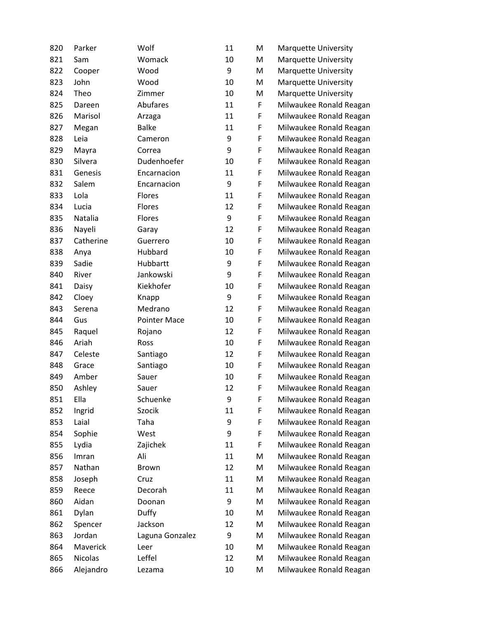| 820 | Parker         | Wolf                | 11 | M | <b>Marquette University</b> |
|-----|----------------|---------------------|----|---|-----------------------------|
| 821 | Sam            | Womack              | 10 | M | <b>Marquette University</b> |
| 822 | Cooper         | Wood                | 9  | M | <b>Marquette University</b> |
| 823 | John           | Wood                | 10 | M | <b>Marquette University</b> |
| 824 | Theo           | Zimmer              | 10 | M | Marquette University        |
| 825 | Dareen         | Abufares            | 11 | F | Milwaukee Ronald Reagan     |
| 826 | Marisol        | Arzaga              | 11 | F | Milwaukee Ronald Reagan     |
| 827 | Megan          | <b>Balke</b>        | 11 | F | Milwaukee Ronald Reagan     |
| 828 | Leia           | Cameron             | 9  | F | Milwaukee Ronald Reagan     |
| 829 | Mayra          | Correa              | 9  | F | Milwaukee Ronald Reagan     |
| 830 | Silvera        | Dudenhoefer         | 10 | F | Milwaukee Ronald Reagan     |
| 831 | Genesis        | Encarnacion         | 11 | F | Milwaukee Ronald Reagan     |
| 832 | Salem          | Encarnacion         | 9  | F | Milwaukee Ronald Reagan     |
| 833 | Lola           | Flores              | 11 | F | Milwaukee Ronald Reagan     |
| 834 | Lucia          | Flores              | 12 | F | Milwaukee Ronald Reagan     |
| 835 | Natalia        | Flores              | 9  | F | Milwaukee Ronald Reagan     |
| 836 | Nayeli         | Garay               | 12 | F | Milwaukee Ronald Reagan     |
| 837 | Catherine      | Guerrero            | 10 | F | Milwaukee Ronald Reagan     |
| 838 | Anya           | Hubbard             | 10 | F | Milwaukee Ronald Reagan     |
| 839 | Sadie          | Hubbartt            | 9  | F | Milwaukee Ronald Reagan     |
| 840 | River          | Jankowski           | 9  | F | Milwaukee Ronald Reagan     |
| 841 | Daisy          | Kiekhofer           | 10 | F | Milwaukee Ronald Reagan     |
| 842 | Cloey          | Knapp               | 9  | F | Milwaukee Ronald Reagan     |
| 843 | Serena         | Medrano             | 12 | F | Milwaukee Ronald Reagan     |
| 844 | Gus            | <b>Pointer Mace</b> | 10 | F | Milwaukee Ronald Reagan     |
| 845 | Raquel         | Rojano              | 12 | F | Milwaukee Ronald Reagan     |
| 846 | Ariah          | Ross                | 10 | F | Milwaukee Ronald Reagan     |
| 847 | Celeste        | Santiago            | 12 | F | Milwaukee Ronald Reagan     |
| 848 | Grace          | Santiago            | 10 | F | Milwaukee Ronald Reagan     |
| 849 | Amber          | Sauer               | 10 | F | Milwaukee Ronald Reagan     |
| 850 | Ashley         | Sauer               | 12 | F | Milwaukee Ronald Reagan     |
| 851 | Ella           | Schuenke            | 9  | F | Milwaukee Ronald Reagan     |
| 852 | Ingrid         | Szocik              | 11 | F | Milwaukee Ronald Reagan     |
| 853 | Laial          | Taha                | 9  | F | Milwaukee Ronald Reagan     |
| 854 | Sophie         | West                | 9  | F | Milwaukee Ronald Reagan     |
| 855 | Lydia          | Zajichek            | 11 | F | Milwaukee Ronald Reagan     |
| 856 | Imran          | Ali                 | 11 | M | Milwaukee Ronald Reagan     |
| 857 | Nathan         | <b>Brown</b>        | 12 | M | Milwaukee Ronald Reagan     |
| 858 | Joseph         | Cruz                | 11 | M | Milwaukee Ronald Reagan     |
| 859 | Reece          | Decorah             | 11 | M | Milwaukee Ronald Reagan     |
| 860 | Aidan          | Doonan              | 9  | M | Milwaukee Ronald Reagan     |
| 861 | Dylan          | Duffy               | 10 | M | Milwaukee Ronald Reagan     |
| 862 | Spencer        | Jackson             | 12 | M | Milwaukee Ronald Reagan     |
| 863 | Jordan         | Laguna Gonzalez     | 9  | M | Milwaukee Ronald Reagan     |
| 864 | Maverick       | Leer                | 10 | M | Milwaukee Ronald Reagan     |
| 865 | <b>Nicolas</b> | Leffel              | 12 | M | Milwaukee Ronald Reagan     |
| 866 | Alejandro      | Lezama              | 10 | M | Milwaukee Ronald Reagan     |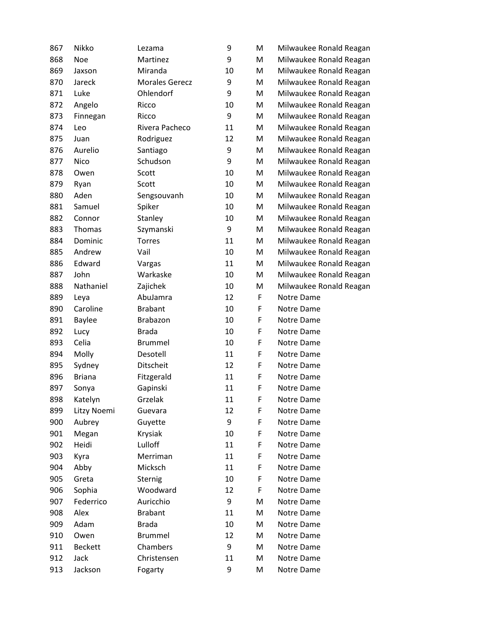| 867 | Nikko          | Lezama                | 9  | M | Milwaukee Ronald Reagan |
|-----|----------------|-----------------------|----|---|-------------------------|
| 868 | <b>Noe</b>     | Martinez              | 9  | M | Milwaukee Ronald Reagan |
| 869 | Jaxson         | Miranda               | 10 | M | Milwaukee Ronald Reagan |
| 870 | Jareck         | <b>Morales Gerecz</b> | 9  | M | Milwaukee Ronald Reagan |
| 871 | Luke           | Ohlendorf             | 9  | M | Milwaukee Ronald Reagan |
| 872 | Angelo         | Ricco                 | 10 | M | Milwaukee Ronald Reagan |
| 873 | Finnegan       | Ricco                 | 9  | M | Milwaukee Ronald Reagan |
| 874 | Leo            | Rivera Pacheco        | 11 | M | Milwaukee Ronald Reagan |
| 875 | Juan           | Rodriguez             | 12 | M | Milwaukee Ronald Reagan |
| 876 | Aurelio        | Santiago              | 9  | M | Milwaukee Ronald Reagan |
| 877 | Nico           | Schudson              | 9  | M | Milwaukee Ronald Reagan |
| 878 | Owen           | Scott                 | 10 | M | Milwaukee Ronald Reagan |
| 879 | Ryan           | Scott                 | 10 | M | Milwaukee Ronald Reagan |
| 880 | Aden           | Sengsouvanh           | 10 | M | Milwaukee Ronald Reagan |
| 881 | Samuel         | Spiker                | 10 | M | Milwaukee Ronald Reagan |
| 882 | Connor         | Stanley               | 10 | M | Milwaukee Ronald Reagan |
| 883 | Thomas         | Szymanski             | 9  | M | Milwaukee Ronald Reagan |
| 884 | Dominic        | Torres                | 11 | M | Milwaukee Ronald Reagan |
| 885 | Andrew         | Vail                  | 10 | M | Milwaukee Ronald Reagan |
| 886 | Edward         | Vargas                | 11 | M | Milwaukee Ronald Reagan |
| 887 | John           | Warkaske              | 10 | M | Milwaukee Ronald Reagan |
| 888 | Nathaniel      | Zajichek              | 10 | M | Milwaukee Ronald Reagan |
| 889 | Leya           | AbuJamra              | 12 | F | Notre Dame              |
| 890 | Caroline       | <b>Brabant</b>        | 10 | F | Notre Dame              |
| 891 | <b>Baylee</b>  | Brabazon              | 10 | F | Notre Dame              |
| 892 | Lucy           | <b>Brada</b>          | 10 | F | Notre Dame              |
| 893 | Celia          | <b>Brummel</b>        | 10 | F | Notre Dame              |
| 894 | Molly          | Desotell              | 11 | F | Notre Dame              |
| 895 | Sydney         | Ditscheit             | 12 | F | Notre Dame              |
| 896 | <b>Briana</b>  | Fitzgerald            | 11 | F | Notre Dame              |
| 897 | Sonya          | Gapinski              | 11 | F | Notre Dame              |
| 898 | Katelyn        | Grzelak               | 11 | F | Notre Dame              |
| 899 | Litzy Noemi    | Guevara               | 12 | F | Notre Dame              |
| 900 | Aubrey         | Guyette               | 9  | F | Notre Dame              |
| 901 | Megan          | Krysiak               | 10 | F | Notre Dame              |
| 902 | Heidi          | Lulloff               | 11 | F | Notre Dame              |
| 903 | Kyra           | Merriman              | 11 | F | Notre Dame              |
| 904 | Abby           | Micksch               | 11 | F | Notre Dame              |
| 905 | Greta          | Sternig               | 10 | F | Notre Dame              |
| 906 | Sophia         | Woodward              | 12 | F | Notre Dame              |
| 907 | Federrico      | Auricchio             | 9  | M | Notre Dame              |
| 908 | Alex           | <b>Brabant</b>        | 11 | M | Notre Dame              |
| 909 | Adam           | <b>Brada</b>          | 10 | M | Notre Dame              |
| 910 | Owen           | <b>Brummel</b>        | 12 | M | Notre Dame              |
| 911 | <b>Beckett</b> | Chambers              | 9  | M | Notre Dame              |
| 912 | Jack           | Christensen           | 11 | M | Notre Dame              |
| 913 | Jackson        | Fogarty               | 9  | M | Notre Dame              |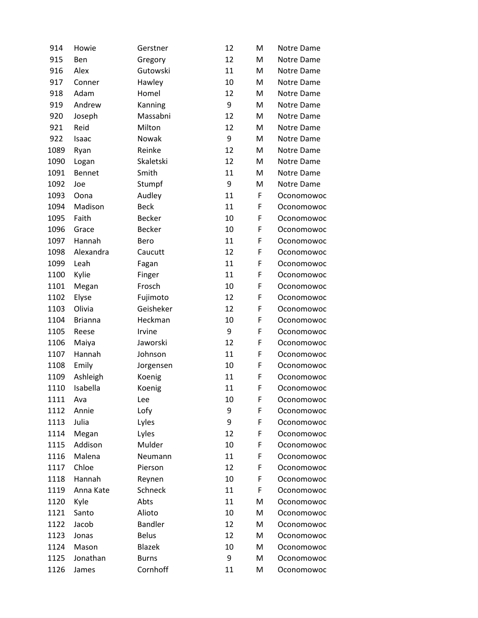| 914  | Howie          | Gerstner       | 12 | M | Notre Dame |
|------|----------------|----------------|----|---|------------|
| 915  | Ben            | Gregory        | 12 | M | Notre Dame |
| 916  | Alex           | Gutowski       | 11 | M | Notre Dame |
| 917  | Conner         | Hawley         | 10 | M | Notre Dame |
| 918  | Adam           | Homel          | 12 | M | Notre Dame |
| 919  | Andrew         | Kanning        | 9  | м | Notre Dame |
| 920  | Joseph         | Massabni       | 12 | M | Notre Dame |
| 921  | Reid           | Milton         | 12 | M | Notre Dame |
| 922  | Isaac          | Nowak          | 9  | M | Notre Dame |
| 1089 | Ryan           | Reinke         | 12 | M | Notre Dame |
| 1090 | Logan          | Skaletski      | 12 | м | Notre Dame |
| 1091 | <b>Bennet</b>  | Smith          | 11 | M | Notre Dame |
| 1092 | Joe            | Stumpf         | 9  | M | Notre Dame |
| 1093 | Oona           | Audley         | 11 | F | Oconomowoc |
| 1094 | Madison        | <b>Beck</b>    | 11 | F | Oconomowoc |
| 1095 | Faith          | <b>Becker</b>  | 10 | F | Oconomowoc |
| 1096 | Grace          | Becker         | 10 | F | Oconomowoc |
| 1097 | Hannah         | Bero           | 11 | F | Oconomowoc |
| 1098 | Alexandra      | Caucutt        | 12 | F | Oconomowoc |
| 1099 | Leah           | Fagan          | 11 | F | Oconomowoc |
| 1100 | Kylie          | Finger         | 11 | F | Oconomowoc |
| 1101 | Megan          | Frosch         | 10 | F | Oconomowoc |
| 1102 | Elyse          | Fujimoto       | 12 | F | Oconomowoc |
| 1103 | Olivia         | Geisheker      | 12 | F | Oconomowoc |
| 1104 | <b>Brianna</b> | Heckman        | 10 | F | Oconomowoc |
| 1105 | Reese          | Irvine         | 9  | F | Oconomowoc |
| 1106 | Maiya          | Jaworski       | 12 | F | Oconomowoc |
| 1107 | Hannah         | Johnson        | 11 | F | Oconomowoc |
| 1108 | Emily          | Jorgensen      | 10 | F | Oconomowoc |
| 1109 | Ashleigh       | Koenig         | 11 | F | Oconomowoc |
| 1110 | Isabella       | Koenig         | 11 | F | Oconomowoc |
| 1111 | Ava            | Lee            | 10 | F | Oconomowoc |
| 1112 | Annie          | Lofy           | 9  | F | Oconomowoc |
| 1113 | Julia          | Lyles          | 9  | F | Oconomowoc |
| 1114 | Megan          | Lyles          | 12 | F | Oconomowoc |
| 1115 | Addison        | Mulder         | 10 | F | Oconomowoc |
| 1116 | Malena         | Neumann        | 11 | F | Oconomowoc |
| 1117 | Chloe          | Pierson        | 12 | F | Oconomowoc |
| 1118 | Hannah         | Reynen         | 10 | F | Oconomowoc |
| 1119 | Anna Kate      | Schneck        | 11 | F | Oconomowoc |
| 1120 | Kyle           | Abts           | 11 | M | Oconomowoc |
| 1121 | Santo          | Alioto         | 10 | м | Oconomowoc |
| 1122 | Jacob          | <b>Bandler</b> | 12 | M | Oconomowoc |
| 1123 | Jonas          | <b>Belus</b>   | 12 | M | Oconomowoc |
| 1124 | Mason          | <b>Blazek</b>  | 10 | M | Oconomowoc |
| 1125 | Jonathan       | <b>Burns</b>   | 9  | M | Oconomowoc |
| 1126 | James          | Cornhoff       | 11 | M | Oconomowoc |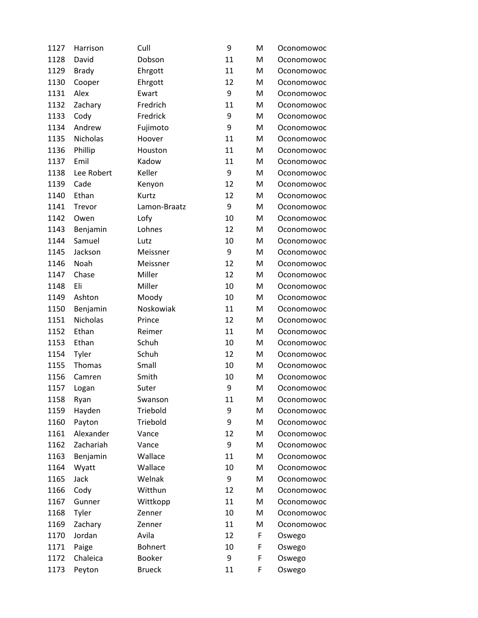| 1127 | Harrison        | Cull           | 9  | M | Oconomowoc |
|------|-----------------|----------------|----|---|------------|
| 1128 | David           | Dobson         | 11 | M | Oconomowoc |
| 1129 | <b>Brady</b>    | Ehrgott        | 11 | M | Oconomowoc |
| 1130 | Cooper          | Ehrgott        | 12 | M | Oconomowoc |
| 1131 | Alex            | Ewart          | 9  | M | Oconomowoc |
| 1132 | Zachary         | Fredrich       | 11 | M | Oconomowoc |
| 1133 | Cody            | Fredrick       | 9  | M | Oconomowoc |
| 1134 | Andrew          | Fujimoto       | 9  | M | Oconomowoc |
| 1135 | Nicholas        | Hoover         | 11 | M | Oconomowoc |
| 1136 | Phillip         | Houston        | 11 | M | Oconomowoc |
| 1137 | Emil            | Kadow          | 11 | M | Oconomowoc |
| 1138 | Lee Robert      | Keller         | 9  | M | Oconomowoc |
| 1139 | Cade            | Kenyon         | 12 | M | Oconomowoc |
| 1140 | Ethan           | Kurtz          | 12 | M | Oconomowoc |
| 1141 | Trevor          | Lamon-Braatz   | 9  | M | Oconomowoc |
| 1142 | Owen            | Lofy           | 10 | M | Oconomowoc |
| 1143 | Benjamin        | Lohnes         | 12 | M | Oconomowoc |
| 1144 | Samuel          | Lutz           | 10 | M | Oconomowoc |
| 1145 | Jackson         | Meissner       | 9  | M | Oconomowoc |
| 1146 | Noah            | Meissner       | 12 | M | Oconomowoc |
| 1147 | Chase           | Miller         | 12 | M | Oconomowoc |
| 1148 | Eli             | Miller         | 10 | M | Oconomowoc |
| 1149 | Ashton          | Moody          | 10 | M | Oconomowoc |
| 1150 | Benjamin        | Noskowiak      | 11 | M | Oconomowoc |
| 1151 | <b>Nicholas</b> | Prince         | 12 | M | Oconomowoc |
| 1152 | Ethan           | Reimer         | 11 | M | Oconomowoc |
| 1153 | Ethan           | Schuh          | 10 | M | Oconomowoc |
| 1154 | Tyler           | Schuh          | 12 | M | Oconomowoc |
| 1155 | Thomas          | Small          | 10 | M | Oconomowoc |
| 1156 | Camren          | Smith          | 10 | M | Oconomowoc |
| 1157 | Logan           | Suter          | 9  | M | Oconomowoc |
| 1158 | Ryan            | Swanson        | 11 | Μ | Oconomowoc |
| 1159 | Hayden          | Triebold       | 9  | M | Oconomowoc |
| 1160 | Payton          | Triebold       | 9  | M | Oconomowoc |
| 1161 | Alexander       | Vance          | 12 | M | Oconomowoc |
| 1162 | Zachariah       | Vance          | 9  | M | Oconomowoc |
| 1163 | Benjamin        | Wallace        | 11 | M | Oconomowoc |
| 1164 | Wyatt           | Wallace        | 10 | M | Oconomowoc |
| 1165 | Jack            | Welnak         | 9  | M | Oconomowoc |
| 1166 | Cody            | Witthun        | 12 | M | Oconomowoc |
| 1167 | Gunner          | Wittkopp       | 11 | M | Oconomowoc |
| 1168 | Tyler           | Zenner         | 10 | M | Oconomowoc |
| 1169 | Zachary         | Zenner         | 11 | M | Oconomowoc |
| 1170 | Jordan          | Avila          | 12 | F | Oswego     |
| 1171 | Paige           | <b>Bohnert</b> | 10 | F | Oswego     |
| 1172 | Chaleica        | <b>Booker</b>  | 9  | F | Oswego     |
| 1173 | Peyton          | <b>Brueck</b>  | 11 | F | Oswego     |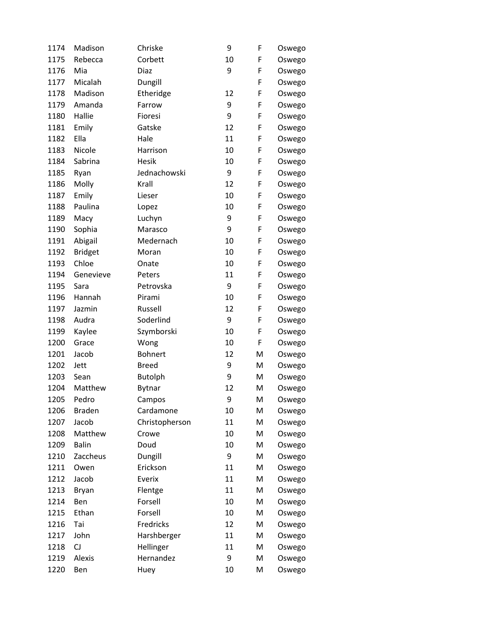| 1174 | Madison        | Chriske        | 9  | F | Oswego |
|------|----------------|----------------|----|---|--------|
| 1175 | Rebecca        | Corbett        | 10 | F | Oswego |
| 1176 | Mia            | Diaz           | 9  | F | Oswego |
| 1177 | Micalah        | Dungill        |    | F | Oswego |
| 1178 | Madison        | Etheridge      | 12 | F | Oswego |
| 1179 | Amanda         | Farrow         | 9  | F | Oswego |
| 1180 | Hallie         | Fioresi        | 9  | F | Oswego |
| 1181 | Emily          | Gatske         | 12 | F | Oswego |
| 1182 | Ella           | Hale           | 11 | F | Oswego |
| 1183 | Nicole         | Harrison       | 10 | F | Oswego |
| 1184 | Sabrina        | Hesik          | 10 | F | Oswego |
| 1185 | Ryan           | Jednachowski   | 9  | F | Oswego |
| 1186 | Molly          | Krall          | 12 | F | Oswego |
| 1187 | Emily          | Lieser         | 10 | F | Oswego |
| 1188 | Paulina        | Lopez          | 10 | F | Oswego |
| 1189 | Macy           | Luchyn         | 9  | F | Oswego |
| 1190 | Sophia         | Marasco        | 9  | F | Oswego |
| 1191 | Abigail        | Medernach      | 10 | F | Oswego |
| 1192 | <b>Bridget</b> | Moran          | 10 | F | Oswego |
| 1193 | Chloe          | Onate          | 10 | F | Oswego |
| 1194 | Genevieve      | Peters         | 11 | F | Oswego |
| 1195 | Sara           | Petrovska      | 9  | F | Oswego |
| 1196 | Hannah         | Pirami         | 10 | F | Oswego |
| 1197 | Jazmin         | Russell        | 12 | F | Oswego |
| 1198 | Audra          | Soderlind      | 9  | F | Oswego |
| 1199 | Kaylee         | Szymborski     | 10 | F | Oswego |
| 1200 | Grace          | Wong           | 10 | F | Oswego |
| 1201 | Jacob          | <b>Bohnert</b> | 12 | M | Oswego |
| 1202 | Jett           | <b>Breed</b>   | 9  | M | Oswego |
| 1203 | Sean           | <b>Butolph</b> | 9  | M | Oswego |
| 1204 | Matthew        | <b>Bytnar</b>  | 12 | M | Oswego |
| 1205 | Pedro          | Campos         | 9  | M | Oswego |
| 1206 | <b>Braden</b>  | Cardamone      | 10 | M | Oswego |
| 1207 | Jacob          | Christopherson | 11 | M | Oswego |
| 1208 | Matthew        | Crowe          | 10 | M | Oswego |
| 1209 | <b>Balin</b>   | Doud           | 10 | M | Oswego |
| 1210 | Zaccheus       | Dungill        | 9  | Μ | Oswego |
| 1211 | Owen           | Erickson       | 11 | Μ | Oswego |
| 1212 | Jacob          | Everix         | 11 | Μ | Oswego |
| 1213 | <b>Bryan</b>   | Flentge        | 11 | Μ | Oswego |
| 1214 | Ben            | Forsell        | 10 | M | Oswego |
| 1215 | Ethan          | Forsell        | 10 | M | Oswego |
| 1216 | Tai            | Fredricks      | 12 | Μ | Oswego |
| 1217 | John           | Harshberger    | 11 | M | Oswego |
| 1218 | CJ             | Hellinger      | 11 | Μ | Oswego |
| 1219 | Alexis         | Hernandez      | 9  | Μ | Oswego |
| 1220 | Ben            | Huey           | 10 | M | Oswego |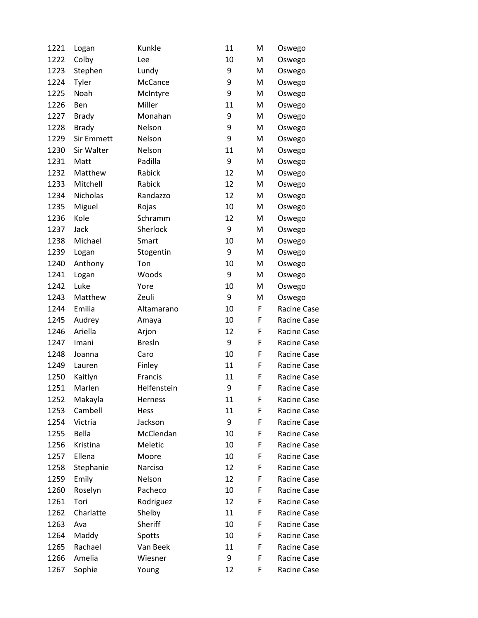| 1221 | Logan        | Kunkle        | 11 | M | Oswego      |
|------|--------------|---------------|----|---|-------------|
| 1222 | Colby        | Lee           | 10 | M | Oswego      |
| 1223 | Stephen      | Lundy         | 9  | M | Oswego      |
| 1224 | Tyler        | McCance       | 9  | M | Oswego      |
| 1225 | Noah         | McIntyre      | 9  | M | Oswego      |
| 1226 | Ben          | Miller        | 11 | M | Oswego      |
| 1227 | <b>Brady</b> | Monahan       | 9  | M | Oswego      |
| 1228 | <b>Brady</b> | Nelson        | 9  | M | Oswego      |
| 1229 | Sir Emmett   | Nelson        | 9  | M | Oswego      |
| 1230 | Sir Walter   | Nelson        | 11 | M | Oswego      |
| 1231 | Matt         | Padilla       | 9  | M | Oswego      |
| 1232 | Matthew      | Rabick        | 12 | M | Oswego      |
| 1233 | Mitchell     | Rabick        | 12 | M | Oswego      |
| 1234 | Nicholas     | Randazzo      | 12 | M | Oswego      |
| 1235 | Miguel       | Rojas         | 10 | M | Oswego      |
| 1236 | Kole         | Schramm       | 12 | M | Oswego      |
| 1237 | Jack         | Sherlock      | 9  | M | Oswego      |
| 1238 | Michael      | Smart         | 10 | M | Oswego      |
| 1239 | Logan        | Stogentin     | 9  | M | Oswego      |
| 1240 | Anthony      | Ton           | 10 | M | Oswego      |
| 1241 | Logan        | Woods         | 9  | M | Oswego      |
| 1242 | Luke         | Yore          | 10 | M | Oswego      |
| 1243 | Matthew      | Zeuli         | 9  | M | Oswego      |
| 1244 | Emilia       | Altamarano    | 10 | F | Racine Case |
| 1245 | Audrey       | Amaya         | 10 | F | Racine Case |
| 1246 | Ariella      | Arjon         | 12 | F | Racine Case |
| 1247 | Imani        | <b>Bresln</b> | 9  | F | Racine Case |
| 1248 | Joanna       | Caro          | 10 | F | Racine Case |
| 1249 | Lauren       | Finley        | 11 | F | Racine Case |
| 1250 | Kaitlyn      | Francis       | 11 | F | Racine Case |
| 1251 | Marlen       | Helfenstein   | 9  | F | Racine Case |
| 1252 | Makayla      | Herness       | 11 | F | Racine Case |
| 1253 | Cambell      | Hess          | 11 | F | Racine Case |
| 1254 | Victria      | Jackson       | 9  | F | Racine Case |
| 1255 | Bella        | McClendan     | 10 | F | Racine Case |
| 1256 | Kristina     | Meletic       | 10 | F | Racine Case |
| 1257 | Ellena       | Moore         | 10 | F | Racine Case |
| 1258 | Stephanie    | Narciso       | 12 | F | Racine Case |
| 1259 | Emily        | Nelson        | 12 | F | Racine Case |
| 1260 | Roselyn      | Pacheco       | 10 | F | Racine Case |
| 1261 | Tori         | Rodriguez     | 12 | F | Racine Case |
| 1262 | Charlatte    | Shelby        | 11 | F | Racine Case |
| 1263 | Ava          | Sheriff       | 10 | F | Racine Case |
| 1264 | Maddy        | Spotts        | 10 | F | Racine Case |
| 1265 | Rachael      | Van Beek      | 11 | F | Racine Case |
| 1266 | Amelia       | Wiesner       | 9  | F | Racine Case |
| 1267 | Sophie       | Young         | 12 | F | Racine Case |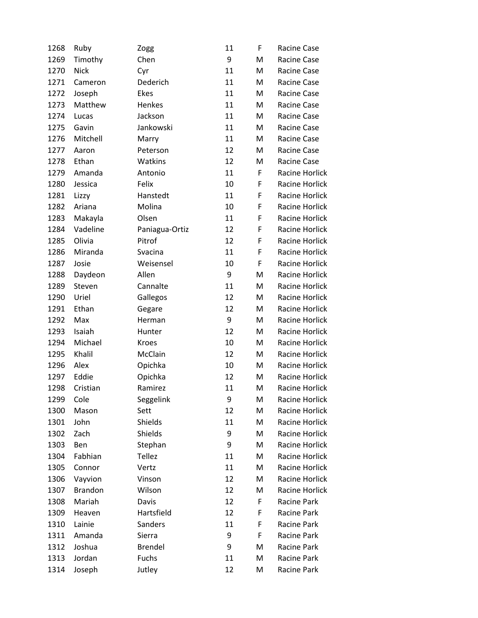| 1268 | Ruby           | Zogg           | 11 | F | Racine Case    |
|------|----------------|----------------|----|---|----------------|
| 1269 | Timothy        | Chen           | 9  | M | Racine Case    |
| 1270 | <b>Nick</b>    | Cyr            | 11 | M | Racine Case    |
| 1271 | Cameron        | Dederich       | 11 | M | Racine Case    |
| 1272 | Joseph         | Ekes           | 11 | M | Racine Case    |
| 1273 | Matthew        | Henkes         | 11 | M | Racine Case    |
| 1274 | Lucas          | Jackson        | 11 | M | Racine Case    |
| 1275 | Gavin          | Jankowski      | 11 | M | Racine Case    |
| 1276 | Mitchell       | Marry          | 11 | M | Racine Case    |
| 1277 | Aaron          | Peterson       | 12 | M | Racine Case    |
| 1278 | Ethan          | Watkins        | 12 | M | Racine Case    |
| 1279 | Amanda         | Antonio        | 11 | F | Racine Horlick |
| 1280 | Jessica        | Felix          | 10 | F | Racine Horlick |
| 1281 | Lizzy          | Hanstedt       | 11 | F | Racine Horlick |
| 1282 | Ariana         | Molina         | 10 | F | Racine Horlick |
| 1283 | Makayla        | Olsen          | 11 | F | Racine Horlick |
| 1284 | Vadeline       | Paniagua-Ortiz | 12 | F | Racine Horlick |
| 1285 | Olivia         | Pitrof         | 12 | F | Racine Horlick |
| 1286 | Miranda        | Svacina        | 11 | F | Racine Horlick |
| 1287 | Josie          | Weisensel      | 10 | F | Racine Horlick |
| 1288 | Daydeon        | Allen          | 9  | M | Racine Horlick |
| 1289 | Steven         | Cannalte       | 11 | M | Racine Horlick |
| 1290 | Uriel          | Gallegos       | 12 | M | Racine Horlick |
| 1291 | Ethan          | Gegare         | 12 | M | Racine Horlick |
| 1292 | Max            | Herman         | 9  | M | Racine Horlick |
| 1293 | Isaiah         | Hunter         | 12 | M | Racine Horlick |
| 1294 | Michael        | Kroes          | 10 | M | Racine Horlick |
| 1295 | Khalil         | McClain        | 12 | M | Racine Horlick |
| 1296 | Alex           | Opichka        | 10 | M | Racine Horlick |
| 1297 | Eddie          | Opichka        | 12 | M | Racine Horlick |
| 1298 | Cristian       | Ramirez        | 11 | M | Racine Horlick |
| 1299 | Cole           | Seggelink      | 9  | M | Racine Horlick |
| 1300 | Mason          | Sett           | 12 | M | Racine Horlick |
| 1301 | John           | Shields        | 11 | M | Racine Horlick |
| 1302 | Zach           | Shields        | 9  | M | Racine Horlick |
| 1303 | Ben            | Stephan        | 9  | M | Racine Horlick |
| 1304 | Fabhian        | <b>Tellez</b>  | 11 | M | Racine Horlick |
| 1305 | Connor         | Vertz          | 11 | M | Racine Horlick |
| 1306 | Vayvion        | Vinson         | 12 | M | Racine Horlick |
| 1307 | <b>Brandon</b> | Wilson         | 12 | M | Racine Horlick |
| 1308 | Mariah         | Davis          | 12 | F | Racine Park    |
| 1309 | Heaven         | Hartsfield     | 12 | F | Racine Park    |
| 1310 | Lainie         | Sanders        | 11 | F | Racine Park    |
| 1311 | Amanda         | Sierra         | 9  | F | Racine Park    |
| 1312 | Joshua         | <b>Brendel</b> | 9  | M | Racine Park    |
| 1313 | Jordan         | Fuchs          | 11 | M | Racine Park    |
| 1314 | Joseph         | Jutley         | 12 | M | Racine Park    |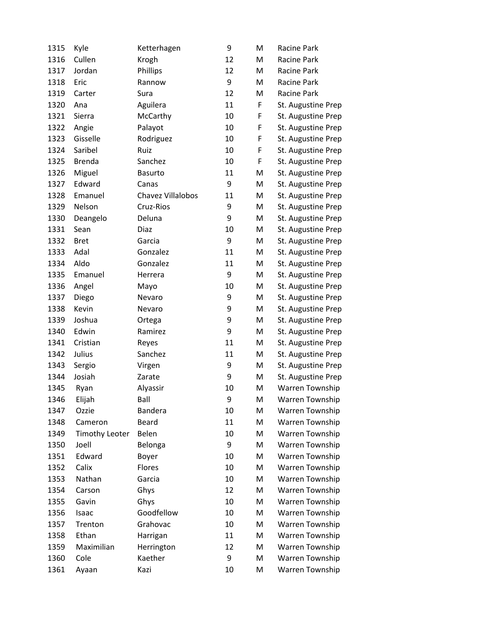| 1315 | Kyle                  | Ketterhagen       | 9  | M | Racine Park            |
|------|-----------------------|-------------------|----|---|------------------------|
| 1316 | Cullen                | Krogh             | 12 | M | Racine Park            |
| 1317 | Jordan                | Phillips          | 12 | M | Racine Park            |
| 1318 | Eric                  | Rannow            | 9  | M | Racine Park            |
| 1319 | Carter                | Sura              | 12 | M | Racine Park            |
| 1320 | Ana                   | Aguilera          | 11 | F | St. Augustine Prep     |
| 1321 | Sierra                | McCarthy          | 10 | F | St. Augustine Prep     |
| 1322 | Angie                 | Palayot           | 10 | F | St. Augustine Prep     |
| 1323 | Gisselle              | Rodriguez         | 10 | F | St. Augustine Prep     |
| 1324 | Saribel               | Ruiz              | 10 | F | St. Augustine Prep     |
| 1325 | <b>Brenda</b>         | Sanchez           | 10 | F | St. Augustine Prep     |
| 1326 | Miguel                | <b>Basurto</b>    | 11 | M | St. Augustine Prep     |
| 1327 | Edward                | Canas             | 9  | M | St. Augustine Prep     |
| 1328 | Emanuel               | Chavez Villalobos | 11 | M | St. Augustine Prep     |
| 1329 | Nelson                | Cruz-Rios         | 9  | M | St. Augustine Prep     |
| 1330 | Deangelo              | Deluna            | 9  | M | St. Augustine Prep     |
| 1331 | Sean                  | Diaz              | 10 | M | St. Augustine Prep     |
| 1332 | <b>Bret</b>           | Garcia            | 9  | M | St. Augustine Prep     |
| 1333 | Adal                  | Gonzalez          | 11 | M | St. Augustine Prep     |
| 1334 | Aldo                  | Gonzalez          | 11 | M | St. Augustine Prep     |
| 1335 | Emanuel               | Herrera           | 9  | M | St. Augustine Prep     |
| 1336 | Angel                 | Mayo              | 10 | M | St. Augustine Prep     |
| 1337 | Diego                 | Nevaro            | 9  | M | St. Augustine Prep     |
| 1338 | Kevin                 | Nevaro            | 9  | M | St. Augustine Prep     |
| 1339 | Joshua                | Ortega            | 9  | M | St. Augustine Prep     |
| 1340 | Edwin                 | Ramirez           | 9  | M | St. Augustine Prep     |
| 1341 | Cristian              | Reyes             | 11 | M | St. Augustine Prep     |
| 1342 | Julius                | Sanchez           | 11 | M | St. Augustine Prep     |
| 1343 | Sergio                | Virgen            | 9  | M | St. Augustine Prep     |
| 1344 | Josiah                | Zarate            | 9  | M | St. Augustine Prep     |
| 1345 | Ryan                  | Alyassir          | 10 | M | Warren Township        |
| 1346 | Elijah                | Ball              | 9  | M | <b>Warren Township</b> |
| 1347 | Ozzie                 | Bandera           | 10 | M | Warren Township        |
| 1348 | Cameron               | <b>Beard</b>      | 11 | M | Warren Township        |
| 1349 | <b>Timothy Leoter</b> | Belen             | 10 | M | Warren Township        |
| 1350 | Joell                 | Belonga           | 9  | M | Warren Township        |
| 1351 | Edward                | Boyer             | 10 | M | Warren Township        |
| 1352 | Calix                 | Flores            | 10 | M | Warren Township        |
| 1353 | Nathan                | Garcia            | 10 | M | Warren Township        |
| 1354 | Carson                | Ghys              | 12 | M | Warren Township        |
| 1355 | Gavin                 | Ghys              | 10 | M | Warren Township        |
| 1356 | Isaac                 | Goodfellow        | 10 | M | Warren Township        |
| 1357 | Trenton               | Grahovac          | 10 | M | Warren Township        |
| 1358 | Ethan                 | Harrigan          | 11 | M | Warren Township        |
| 1359 | Maximilian            | Herrington        | 12 | M | Warren Township        |
| 1360 | Cole                  | Kaether           | 9  | M | Warren Township        |
| 1361 | Ayaan                 | Kazi              | 10 | M | Warren Township        |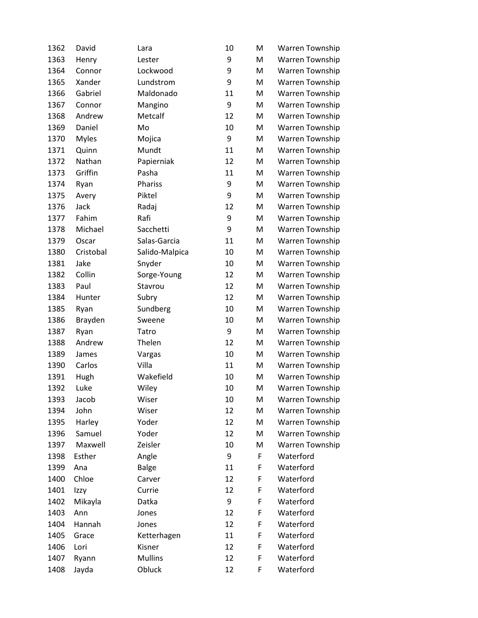| 1362 | David        | Lara           | 10 | M | Warren Township |
|------|--------------|----------------|----|---|-----------------|
| 1363 | Henry        | Lester         | 9  | M | Warren Township |
| 1364 | Connor       | Lockwood       | 9  | M | Warren Township |
| 1365 | Xander       | Lundstrom      | 9  | M | Warren Township |
| 1366 | Gabriel      | Maldonado      | 11 | M | Warren Township |
| 1367 | Connor       | Mangino        | 9  | M | Warren Township |
| 1368 | Andrew       | Metcalf        | 12 | M | Warren Township |
| 1369 | Daniel       | Mo             | 10 | M | Warren Township |
| 1370 | <b>Myles</b> | Mojica         | 9  | M | Warren Township |
| 1371 | Quinn        | Mundt          | 11 | M | Warren Township |
| 1372 | Nathan       | Papierniak     | 12 | M | Warren Township |
| 1373 | Griffin      | Pasha          | 11 | M | Warren Township |
| 1374 | Ryan         | Phariss        | 9  | M | Warren Township |
| 1375 | Avery        | Piktel         | 9  | M | Warren Township |
| 1376 | Jack         | Radaj          | 12 | M | Warren Township |
| 1377 | Fahim        | Rafi           | 9  | M | Warren Township |
| 1378 | Michael      | Sacchetti      | 9  | M | Warren Township |
| 1379 | Oscar        | Salas-Garcia   | 11 | M | Warren Township |
| 1380 | Cristobal    | Salido-Malpica | 10 | M | Warren Township |
| 1381 | Jake         | Snyder         | 10 | M | Warren Township |
| 1382 | Collin       | Sorge-Young    | 12 | M | Warren Township |
| 1383 | Paul         | Stavrou        | 12 | M | Warren Township |
| 1384 | Hunter       | Subry          | 12 | M | Warren Township |
| 1385 | Ryan         | Sundberg       | 10 | M | Warren Township |
| 1386 | Brayden      | Sweene         | 10 | M | Warren Township |
| 1387 | Ryan         | Tatro          | 9  | M | Warren Township |
| 1388 | Andrew       | Thelen         | 12 | M | Warren Township |
| 1389 | James        | Vargas         | 10 | M | Warren Township |
| 1390 | Carlos       | Villa          | 11 | M | Warren Township |
| 1391 | Hugh         | Wakefield      | 10 | M | Warren Township |
| 1392 | Luke         | Wiley          | 10 | M | Warren Township |
| 1393 | Jacob        | Wiser          | 10 | M | Warren Township |
| 1394 | John         | Wiser          | 12 | M | Warren Township |
| 1395 | Harley       | Yoder          | 12 | M | Warren Township |
| 1396 | Samuel       | Yoder          | 12 | M | Warren Township |
| 1397 | Maxwell      | Zeisler        | 10 | M | Warren Township |
| 1398 | Esther       | Angle          | 9  | F | Waterford       |
| 1399 | Ana          | <b>Balge</b>   | 11 | F | Waterford       |
| 1400 | Chloe        | Carver         | 12 | F | Waterford       |
| 1401 | Izzy         | Currie         | 12 | F | Waterford       |
| 1402 | Mikayla      | Datka          | 9  | F | Waterford       |
| 1403 | Ann          | Jones          | 12 | F | Waterford       |
| 1404 | Hannah       | Jones          | 12 | F | Waterford       |
| 1405 | Grace        | Ketterhagen    | 11 | F | Waterford       |
| 1406 | Lori         | Kisner         | 12 | F | Waterford       |
| 1407 | Ryann        | <b>Mullins</b> | 12 | F | Waterford       |
| 1408 | Jayda        | Obluck         | 12 | F | Waterford       |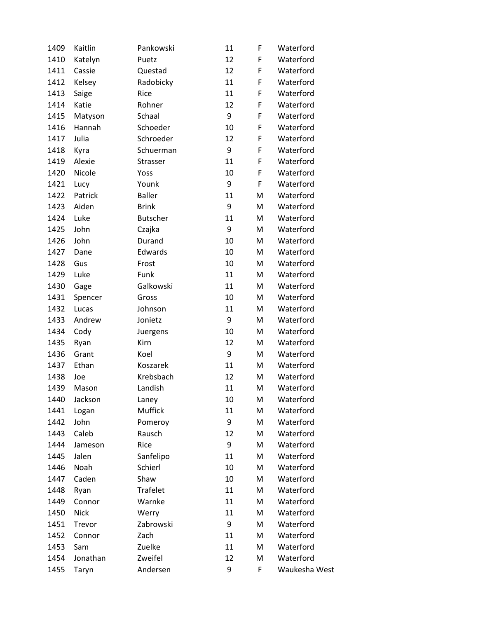| 1409 | Kaitlin     | Pankowski       | 11 | F | Waterford     |
|------|-------------|-----------------|----|---|---------------|
| 1410 | Katelyn     | Puetz           | 12 | F | Waterford     |
| 1411 | Cassie      | Questad         | 12 | F | Waterford     |
| 1412 | Kelsey      | Radobicky       | 11 | F | Waterford     |
| 1413 | Saige       | Rice            | 11 | F | Waterford     |
| 1414 | Katie       | Rohner          | 12 | F | Waterford     |
| 1415 | Matyson     | Schaal          | 9  | F | Waterford     |
| 1416 | Hannah      | Schoeder        | 10 | F | Waterford     |
| 1417 | Julia       | Schroeder       | 12 | F | Waterford     |
| 1418 | Kyra        | Schuerman       | 9  | F | Waterford     |
| 1419 | Alexie      | Strasser        | 11 | F | Waterford     |
| 1420 | Nicole      | Yoss            | 10 | F | Waterford     |
| 1421 | Lucy        | Younk           | 9  | F | Waterford     |
| 1422 | Patrick     | <b>Baller</b>   | 11 | M | Waterford     |
| 1423 | Aiden       | <b>Brink</b>    | 9  | M | Waterford     |
| 1424 | Luke        | <b>Butscher</b> | 11 | M | Waterford     |
| 1425 | John        | Czajka          | 9  | M | Waterford     |
| 1426 | John        | Durand          | 10 | M | Waterford     |
| 1427 | Dane        | Edwards         | 10 | M | Waterford     |
| 1428 | Gus         | Frost           | 10 | M | Waterford     |
| 1429 | Luke        | Funk            | 11 | M | Waterford     |
| 1430 | Gage        | Galkowski       | 11 | M | Waterford     |
| 1431 | Spencer     | Gross           | 10 | M | Waterford     |
| 1432 | Lucas       | Johnson         | 11 | M | Waterford     |
| 1433 | Andrew      | Jonietz         | 9  | M | Waterford     |
| 1434 | Cody        | Juergens        | 10 | M | Waterford     |
| 1435 | Ryan        | Kirn            | 12 | M | Waterford     |
| 1436 | Grant       | Koel            | 9  | M | Waterford     |
| 1437 | Ethan       | Koszarek        | 11 | M | Waterford     |
| 1438 | Joe         | Krebsbach       | 12 | M | Waterford     |
| 1439 | Mason       | Landish         | 11 | M | Waterford     |
| 1440 | Jackson     | Laney           | 10 | M | Waterford     |
| 1441 | Logan       | Muffick         | 11 | M | Waterford     |
| 1442 | John        | Pomeroy         | 9  | M | Waterford     |
| 1443 | Caleb       | Rausch          | 12 | M | Waterford     |
| 1444 | Jameson     | Rice            | 9  | M | Waterford     |
| 1445 | Jalen       | Sanfelipo       | 11 | M | Waterford     |
| 1446 | Noah        | Schierl         | 10 | M | Waterford     |
| 1447 | Caden       | Shaw            | 10 | M | Waterford     |
| 1448 | Ryan        | <b>Trafelet</b> | 11 | M | Waterford     |
| 1449 | Connor      | Warnke          | 11 | M | Waterford     |
| 1450 | <b>Nick</b> | Werry           | 11 | M | Waterford     |
| 1451 | Trevor      | Zabrowski       | 9  | M | Waterford     |
| 1452 | Connor      | Zach            | 11 | M | Waterford     |
| 1453 | Sam         | Zuelke          | 11 | M | Waterford     |
| 1454 | Jonathan    | Zweifel         | 12 | M | Waterford     |
| 1455 | Taryn       | Andersen        | 9  | F | Waukesha West |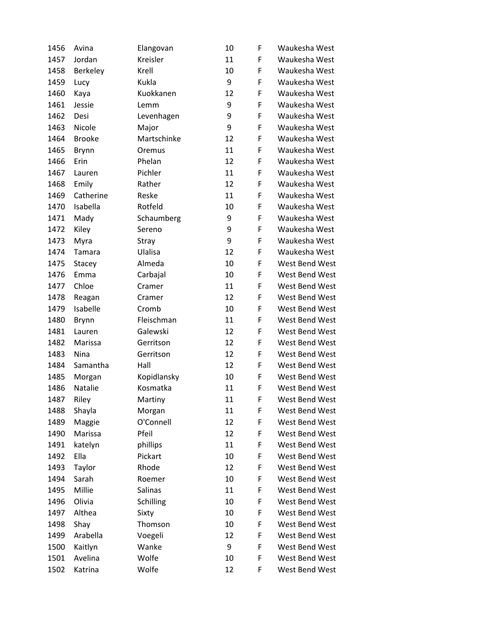| 1456 | Avina          | Elangovan   | 10 | F | Waukesha West         |
|------|----------------|-------------|----|---|-----------------------|
| 1457 | Jordan         | Kreisler    | 11 | F | Waukesha West         |
| 1458 | Berkeley       | Krell       | 10 | F | Waukesha West         |
| 1459 | Lucy           | Kukla       | 9  | F | Waukesha West         |
| 1460 | Kaya           | Kuokkanen   | 12 | F | Waukesha West         |
| 1461 | Jessie         | Lemm        | 9  | F | Waukesha West         |
| 1462 | Desi           | Levenhagen  | 9  | F | Waukesha West         |
| 1463 | Nicole         | Major       | 9  | F | Waukesha West         |
| 1464 | <b>Brooke</b>  | Martschinke | 12 | F | Waukesha West         |
| 1465 | <b>Brynn</b>   | Oremus      | 11 | F | Waukesha West         |
| 1466 | Erin           | Phelan      | 12 | F | Waukesha West         |
| 1467 | Lauren         | Pichler     | 11 | F | Waukesha West         |
| 1468 | Emily          | Rather      | 12 | F | Waukesha West         |
| 1469 | Catherine      | Reske       | 11 | F | Waukesha West         |
| 1470 | Isabella       | Rotfeld     | 10 | F | Waukesha West         |
| 1471 | Mady           | Schaumberg  | 9  | F | Waukesha West         |
| 1472 | Kiley          | Sereno      | 9  | F | Waukesha West         |
| 1473 | Myra           | Stray       | 9  | F | Waukesha West         |
| 1474 | Tamara         | Ulalisa     | 12 | F | Waukesha West         |
| 1475 | Stacey         | Almeda      | 10 | F | <b>West Bend West</b> |
| 1476 | Emma           | Carbajal    | 10 | F | West Bend West        |
| 1477 | Chloe          | Cramer      | 11 | F | West Bend West        |
| 1478 | Reagan         | Cramer      | 12 | F | West Bend West        |
| 1479 | Isabelle       | Cromb       | 10 | F | <b>West Bend West</b> |
| 1480 | <b>Brynn</b>   | Fleischman  | 11 | F | West Bend West        |
| 1481 | Lauren         | Galewski    | 12 | F | West Bend West        |
| 1482 | Marissa        | Gerritson   | 12 | F | West Bend West        |
| 1483 | Nina           | Gerritson   | 12 | F | West Bend West        |
| 1484 | Samantha       | Hall        | 12 | F | West Bend West        |
| 1485 | Morgan         | Kopidlansky | 10 | F | West Bend West        |
| 1486 | <b>Natalie</b> | Kosmatka    | 11 | F | <b>West Bend West</b> |
| 1487 | Riley          | Martiny     | 11 | F | West Bend West        |
| 1488 | Shayla         | Morgan      | 11 | F | West Bend West        |
| 1489 | Maggie         | O'Connell   | 12 | F | West Bend West        |
| 1490 | Marissa        | Pfeil       | 12 | F | West Bend West        |
| 1491 | katelyn        | phillips    | 11 | F | West Bend West        |
| 1492 | Ella           | Pickart     | 10 | F | West Bend West        |
| 1493 | Taylor         | Rhode       | 12 | F | West Bend West        |
| 1494 | Sarah          | Roemer      | 10 | F | West Bend West        |
| 1495 | Millie         | Salinas     | 11 | F | West Bend West        |
| 1496 | Olivia         | Schilling   | 10 | F | West Bend West        |
| 1497 | Althea         | Sixty       | 10 | F | West Bend West        |
| 1498 | Shay           | Thomson     | 10 | F | West Bend West        |
| 1499 | Arabella       | Voegeli     | 12 | F | West Bend West        |
| 1500 | Kaitlyn        | Wanke       | 9  | F | West Bend West        |
| 1501 | Avelina        | Wolfe       | 10 | F | West Bend West        |
| 1502 | Katrina        | Wolfe       | 12 | F | West Bend West        |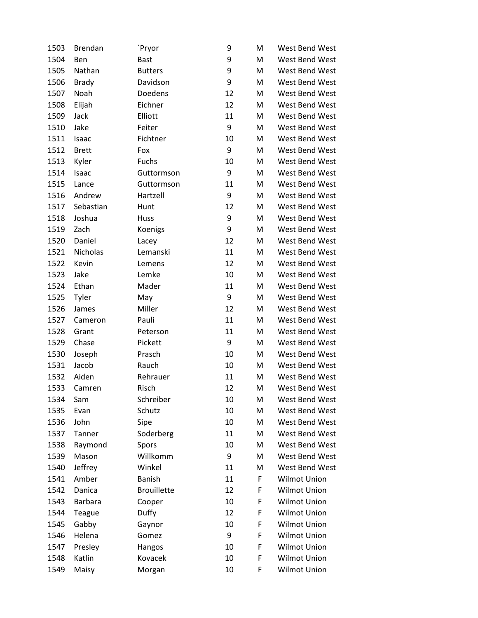| 1503 | <b>Brendan</b> | `Pryor             | 9  | M | West Bend West      |
|------|----------------|--------------------|----|---|---------------------|
| 1504 | Ben            | <b>Bast</b>        | 9  | M | West Bend West      |
| 1505 | Nathan         | <b>Butters</b>     | 9  | M | West Bend West      |
| 1506 | <b>Brady</b>   | Davidson           | 9  | M | West Bend West      |
| 1507 | Noah           | Doedens            | 12 | M | West Bend West      |
| 1508 | Elijah         | Eichner            | 12 | M | West Bend West      |
| 1509 | Jack           | Elliott            | 11 | M | West Bend West      |
| 1510 | Jake           | Feiter             | 9  | M | West Bend West      |
| 1511 | Isaac          | Fichtner           | 10 | M | West Bend West      |
| 1512 | <b>Brett</b>   | Fox                | 9  | M | West Bend West      |
| 1513 | Kyler          | Fuchs              | 10 | M | West Bend West      |
| 1514 | Isaac          | Guttormson         | 9  | M | West Bend West      |
| 1515 | Lance          | Guttormson         | 11 | M | West Bend West      |
| 1516 | Andrew         | Hartzell           | 9  | M | West Bend West      |
| 1517 | Sebastian      | Hunt               | 12 | M | West Bend West      |
| 1518 | Joshua         | Huss               | 9  | M | West Bend West      |
| 1519 | Zach           | Koenigs            | 9  | M | West Bend West      |
| 1520 | Daniel         | Lacey              | 12 | M | West Bend West      |
| 1521 | Nicholas       | Lemanski           | 11 | M | West Bend West      |
| 1522 | Kevin          | Lemens             | 12 | M | West Bend West      |
| 1523 | Jake           | Lemke              | 10 | M | West Bend West      |
| 1524 | Ethan          | Mader              | 11 | M | West Bend West      |
| 1525 | Tyler          | May                | 9  | M | West Bend West      |
| 1526 | James          | Miller             | 12 | M | West Bend West      |
| 1527 | Cameron        | Pauli              | 11 | M | West Bend West      |
| 1528 | Grant          | Peterson           | 11 | M | West Bend West      |
| 1529 | Chase          | Pickett            | 9  | M | West Bend West      |
| 1530 | Joseph         | Prasch             | 10 | M | West Bend West      |
| 1531 | Jacob          | Rauch              | 10 | M | West Bend West      |
| 1532 | Aiden          | Rehrauer           | 11 | M | West Bend West      |
| 1533 | Camren         | Risch              | 12 | M | West Bend West      |
| 1534 | Sam            | Schreiber          | 10 | M | West Bend West      |
| 1535 | Evan           | Schutz             | 10 | M | West Bend West      |
| 1536 | John           | Sipe               | 10 | M | West Bend West      |
| 1537 | Tanner         | Soderberg          | 11 | M | West Bend West      |
| 1538 | Raymond        | Spors              | 10 | M | West Bend West      |
| 1539 | Mason          | Willkomm           | 9  | M | West Bend West      |
| 1540 | Jeffrey        | Winkel             | 11 | M | West Bend West      |
| 1541 | Amber          | <b>Banish</b>      | 11 | F | <b>Wilmot Union</b> |
| 1542 | Danica         | <b>Brouillette</b> | 12 | F | Wilmot Union        |
| 1543 | <b>Barbara</b> | Cooper             | 10 | F | <b>Wilmot Union</b> |
| 1544 | Teague         | Duffy              | 12 | F | Wilmot Union        |
| 1545 | Gabby          | Gaynor             | 10 | F | <b>Wilmot Union</b> |
| 1546 | Helena         | Gomez              | 9  | F | Wilmot Union        |
| 1547 | Presley        | Hangos             | 10 | F | <b>Wilmot Union</b> |
| 1548 | Katlin         | Kovacek            | 10 | F | <b>Wilmot Union</b> |
| 1549 | Maisy          | Morgan             | 10 | F | Wilmot Union        |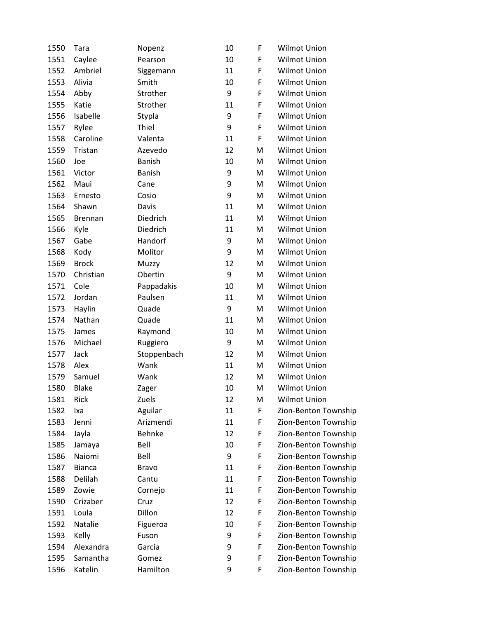| 1550 | Tara           | Nopenz        | 10 | F | <b>Wilmot Union</b>  |
|------|----------------|---------------|----|---|----------------------|
| 1551 | Caylee         | Pearson       | 10 | F | Wilmot Union         |
| 1552 | Ambriel        | Siggemann     | 11 | F | <b>Wilmot Union</b>  |
| 1553 | Alivia         | Smith         | 10 | F | Wilmot Union         |
| 1554 | Abby           | Strother      | 9  | F | Wilmot Union         |
| 1555 | Katie          | Strother      | 11 | F | <b>Wilmot Union</b>  |
| 1556 | Isabelle       | Stypla        | 9  | F | Wilmot Union         |
| 1557 | Rylee          | Thiel         | 9  | F | Wilmot Union         |
| 1558 | Caroline       | Valenta       | 11 | F | Wilmot Union         |
| 1559 | Tristan        | Azevedo       | 12 | M | Wilmot Union         |
| 1560 | Joe            | <b>Banish</b> | 10 | M | Wilmot Union         |
| 1561 | Victor         | <b>Banish</b> | 9  | M | <b>Wilmot Union</b>  |
| 1562 | Maui           | Cane          | 9  | M | <b>Wilmot Union</b>  |
| 1563 | Ernesto        | Cosio         | 9  | M | Wilmot Union         |
| 1564 | Shawn          | Davis         | 11 | M | Wilmot Union         |
| 1565 | <b>Brennan</b> | Diedrich      | 11 | M | Wilmot Union         |
| 1566 | Kyle           | Diedrich      | 11 | M | <b>Wilmot Union</b>  |
| 1567 | Gabe           | Handorf       | 9  | M | Wilmot Union         |
| 1568 | Kody           | Molitor       | 9  | M | Wilmot Union         |
| 1569 | <b>Brock</b>   | Muzzy         | 12 | М | <b>Wilmot Union</b>  |
| 1570 | Christian      | Obertin       | 9  | M | Wilmot Union         |
| 1571 | Cole           | Pappadakis    | 10 | M | <b>Wilmot Union</b>  |
| 1572 | Jordan         | Paulsen       | 11 | M | <b>Wilmot Union</b>  |
| 1573 | Haylin         | Quade         | 9  | M | Wilmot Union         |
| 1574 | Nathan         | Quade         | 11 | M | Wilmot Union         |
| 1575 | James          | Raymond       | 10 | M | Wilmot Union         |
| 1576 | Michael        | Ruggiero      | 9  | M | <b>Wilmot Union</b>  |
| 1577 | Jack           | Stoppenbach   | 12 | M | Wilmot Union         |
| 1578 | Alex           | Wank          | 11 | M | Wilmot Union         |
| 1579 | Samuel         | Wank          | 12 | M | Wilmot Union         |
| 1580 | <b>Blake</b>   | Zager         | 10 | M | <b>Wilmot Union</b>  |
| 1581 | Rick           | Zuels         | 12 | M | Wilmot Union         |
| 1582 | lxa            | Aguilar       | 11 | F | Zion-Benton Township |
| 1583 | Jenni          | Arizmendi     | 11 | F | Zion-Benton Township |
| 1584 | Jayla          | <b>Behnke</b> | 12 | F | Zion-Benton Township |
| 1585 | Jamaya         | Bell          | 10 | F | Zion-Benton Township |
| 1586 | Naiomi         | Bell          | 9  | F | Zion-Benton Township |
| 1587 | <b>Bianca</b>  | <b>Bravo</b>  | 11 | F | Zion-Benton Township |
| 1588 | Delilah        | Cantu         | 11 | F | Zion-Benton Township |
| 1589 | Zowie          | Cornejo       | 11 | F | Zion-Benton Township |
| 1590 | Crizaber       | Cruz          | 12 | F | Zion-Benton Township |
| 1591 | Loula          | Dillon        | 12 | F | Zion-Benton Township |
| 1592 | Natalie        | Figueroa      | 10 | F | Zion-Benton Township |
| 1593 | Kelly          | Fuson         | 9  | F | Zion-Benton Township |
| 1594 | Alexandra      | Garcia        | 9  | F | Zion-Benton Township |
| 1595 | Samantha       | Gomez         | 9  | F | Zion-Benton Township |
| 1596 | Katelin        | Hamilton      | 9  | F | Zion-Benton Township |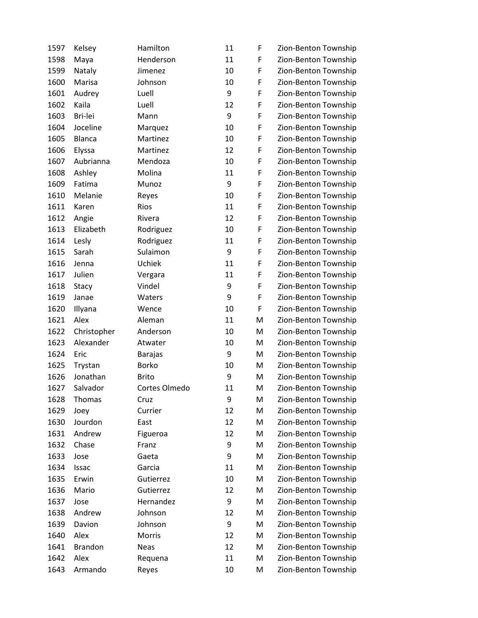| 1597 | Kelsey         | Hamilton       | 11 | F | Zion-Benton Township |
|------|----------------|----------------|----|---|----------------------|
| 1598 | Maya           | Henderson      | 11 | F | Zion-Benton Township |
| 1599 | Nataly         | Jimenez        | 10 | F | Zion-Benton Township |
| 1600 | Marisa         | Johnson        | 10 | F | Zion-Benton Township |
| 1601 | Audrey         | Luell          | 9  | F | Zion-Benton Township |
| 1602 | Kaila          | Luell          | 12 | F | Zion-Benton Township |
| 1603 | Bri-lei        | Mann           | 9  | F | Zion-Benton Township |
| 1604 | Joceline       | Marquez        | 10 | F | Zion-Benton Township |
| 1605 | <b>Blanca</b>  | Martinez       | 10 | F | Zion-Benton Township |
| 1606 | Elyssa         | Martinez       | 12 | F | Zion-Benton Township |
| 1607 | Aubrianna      | Mendoza        | 10 | F | Zion-Benton Township |
| 1608 | Ashley         | Molina         | 11 | F | Zion-Benton Township |
| 1609 | Fatima         | Munoz          | 9  | F | Zion-Benton Township |
| 1610 | Melanie        | Reyes          | 10 | F | Zion-Benton Township |
| 1611 | Karen          | Rios           | 11 | F | Zion-Benton Township |
| 1612 | Angie          | Rivera         | 12 | F | Zion-Benton Township |
| 1613 | Elizabeth      | Rodriguez      | 10 | F | Zion-Benton Township |
| 1614 | Lesly          | Rodriguez      | 11 | F | Zion-Benton Township |
| 1615 | Sarah          | Sulaimon       | 9  | F | Zion-Benton Township |
| 1616 | Jenna          | Uchiek         | 11 | F | Zion-Benton Township |
| 1617 | Julien         | Vergara        | 11 | F | Zion-Benton Township |
| 1618 | Stacy          | Vindel         | 9  | F | Zion-Benton Township |
| 1619 | Janae          | Waters         | 9  | F | Zion-Benton Township |
| 1620 | Illyana        | Wence          | 10 | F | Zion-Benton Township |
| 1621 | Alex           | Aleman         | 11 | M | Zion-Benton Township |
| 1622 | Christopher    | Anderson       | 10 | M | Zion-Benton Township |
| 1623 | Alexander      | Atwater        | 10 | M | Zion-Benton Township |
| 1624 | Eric           | <b>Barajas</b> | 9  | M | Zion-Benton Township |
| 1625 | Trystan        | <b>Borko</b>   | 10 | M | Zion-Benton Township |
| 1626 | Jonathan       | <b>Brito</b>   | 9  | M | Zion-Benton Township |
| 1627 | Salvador       | Cortes Olmedo  | 11 | M | Zion-Benton Township |
| 1628 | Thomas         | Cruz           | 9  | M | Zion-Benton Township |
| 1629 | Joey           | Currier        | 12 | M | Zion-Benton Township |
| 1630 | Jourdon        | East           | 12 | M | Zion-Benton Township |
| 1631 | Andrew         | Figueroa       | 12 | M | Zion-Benton Township |
| 1632 | Chase          | Franz          | 9  | M | Zion-Benton Township |
| 1633 | Jose           | Gaeta          | 9  | M | Zion-Benton Township |
| 1634 | Issac          | Garcia         | 11 | M | Zion-Benton Township |
| 1635 | Erwin          | Gutierrez      | 10 | M | Zion-Benton Township |
| 1636 | Mario          | Gutierrez      | 12 | M | Zion-Benton Township |
| 1637 | Jose           | Hernandez      | 9  | M | Zion-Benton Township |
| 1638 | Andrew         | Johnson        | 12 | M | Zion-Benton Township |
| 1639 | Davion         | Johnson        | 9  | M | Zion-Benton Township |
| 1640 | Alex           | Morris         | 12 | M | Zion-Benton Township |
| 1641 | <b>Brandon</b> | <b>Neas</b>    | 12 | M | Zion-Benton Township |
| 1642 | Alex           | Requena        | 11 | M | Zion-Benton Township |
| 1643 | Armando        | Reyes          | 10 | M | Zion-Benton Township |